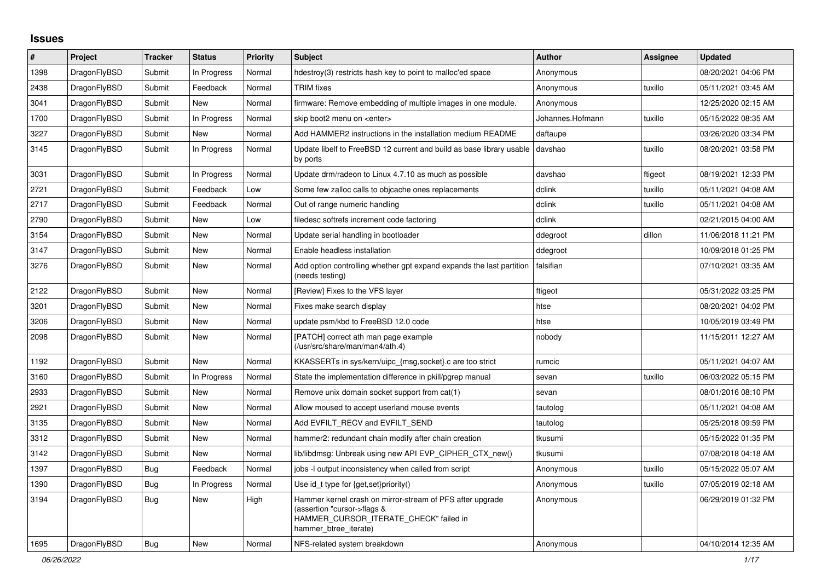## **Issues**

| #    | Project      | <b>Tracker</b> | <b>Status</b> | <b>Priority</b> | <b>Subject</b>                                                                                                                                              | <b>Author</b>    | Assignee | <b>Updated</b>      |
|------|--------------|----------------|---------------|-----------------|-------------------------------------------------------------------------------------------------------------------------------------------------------------|------------------|----------|---------------------|
| 1398 | DragonFlyBSD | Submit         | In Progress   | Normal          | hdestroy(3) restricts hash key to point to malloc'ed space                                                                                                  | Anonymous        |          | 08/20/2021 04:06 PM |
| 2438 | DragonFlyBSD | Submit         | Feedback      | Normal          | <b>TRIM</b> fixes                                                                                                                                           | Anonymous        | tuxillo  | 05/11/2021 03:45 AM |
| 3041 | DragonFlyBSD | Submit         | New           | Normal          | firmware: Remove embedding of multiple images in one module.                                                                                                | Anonymous        |          | 12/25/2020 02:15 AM |
| 1700 | DragonFlyBSD | Submit         | In Progress   | Normal          | skip boot2 menu on <enter></enter>                                                                                                                          | Johannes.Hofmann | tuxillo  | 05/15/2022 08:35 AM |
| 3227 | DragonFlyBSD | Submit         | New           | Normal          | Add HAMMER2 instructions in the installation medium README                                                                                                  | daftaupe         |          | 03/26/2020 03:34 PM |
| 3145 | DragonFlyBSD | Submit         | In Progress   | Normal          | Update libelf to FreeBSD 12 current and build as base library usable<br>by ports                                                                            | davshao          | tuxillo  | 08/20/2021 03:58 PM |
| 3031 | DragonFlyBSD | Submit         | In Progress   | Normal          | Update drm/radeon to Linux 4.7.10 as much as possible                                                                                                       | davshao          | ftigeot  | 08/19/2021 12:33 PM |
| 2721 | DragonFlyBSD | Submit         | Feedback      | Low             | Some few zalloc calls to objcache ones replacements                                                                                                         | dclink           | tuxillo  | 05/11/2021 04:08 AM |
| 2717 | DragonFlyBSD | Submit         | Feedback      | Normal          | Out of range numeric handling                                                                                                                               | dclink           | tuxillo  | 05/11/2021 04:08 AM |
| 2790 | DragonFlyBSD | Submit         | <b>New</b>    | Low             | filedesc softrefs increment code factoring                                                                                                                  | dclink           |          | 02/21/2015 04:00 AM |
| 3154 | DragonFlyBSD | Submit         | <b>New</b>    | Normal          | Update serial handling in bootloader                                                                                                                        | ddegroot         | dillon   | 11/06/2018 11:21 PM |
| 3147 | DragonFlyBSD | Submit         | <b>New</b>    | Normal          | Enable headless installation                                                                                                                                | ddegroot         |          | 10/09/2018 01:25 PM |
| 3276 | DragonFlyBSD | Submit         | New           | Normal          | Add option controlling whether gpt expand expands the last partition<br>(needs testing)                                                                     | falsifian        |          | 07/10/2021 03:35 AM |
| 2122 | DragonFlyBSD | Submit         | <b>New</b>    | Normal          | [Review] Fixes to the VFS layer                                                                                                                             | ftigeot          |          | 05/31/2022 03:25 PM |
| 3201 | DragonFlyBSD | Submit         | <b>New</b>    | Normal          | Fixes make search display                                                                                                                                   | htse             |          | 08/20/2021 04:02 PM |
| 3206 | DragonFlyBSD | Submit         | <b>New</b>    | Normal          | update psm/kbd to FreeBSD 12.0 code                                                                                                                         | htse             |          | 10/05/2019 03:49 PM |
| 2098 | DragonFlyBSD | Submit         | New           | Normal          | [PATCH] correct ath man page example<br>(/usr/src/share/man/man4/ath.4)                                                                                     | nobody           |          | 11/15/2011 12:27 AM |
| 1192 | DragonFlyBSD | Submit         | <b>New</b>    | Normal          | KKASSERTs in sys/kern/uipc_{msg,socket}.c are too strict                                                                                                    | rumcic           |          | 05/11/2021 04:07 AM |
| 3160 | DragonFlyBSD | Submit         | In Progress   | Normal          | State the implementation difference in pkill/pgrep manual                                                                                                   | sevan            | tuxillo  | 06/03/2022 05:15 PM |
| 2933 | DragonFlyBSD | Submit         | New           | Normal          | Remove unix domain socket support from cat(1)                                                                                                               | sevan            |          | 08/01/2016 08:10 PM |
| 2921 | DragonFlyBSD | Submit         | <b>New</b>    | Normal          | Allow moused to accept userland mouse events                                                                                                                | tautolog         |          | 05/11/2021 04:08 AM |
| 3135 | DragonFlyBSD | Submit         | <b>New</b>    | Normal          | Add EVFILT RECV and EVFILT SEND                                                                                                                             | tautolog         |          | 05/25/2018 09:59 PM |
| 3312 | DragonFlyBSD | Submit         | <b>New</b>    | Normal          | hammer2: redundant chain modify after chain creation                                                                                                        | tkusumi          |          | 05/15/2022 01:35 PM |
| 3142 | DragonFlyBSD | Submit         | New           | Normal          | lib/libdmsg: Unbreak using new API EVP CIPHER CTX new()                                                                                                     | tkusumi          |          | 07/08/2018 04:18 AM |
| 1397 | DragonFlyBSD | Bug            | Feedback      | Normal          | jobs -I output inconsistency when called from script                                                                                                        | Anonymous        | tuxillo  | 05/15/2022 05:07 AM |
| 1390 | DragonFlyBSD | Bug            | In Progress   | Normal          | Use id_t type for {get, set}priority()                                                                                                                      | Anonymous        | tuxillo  | 07/05/2019 02:18 AM |
| 3194 | DragonFlyBSD | <b>Bug</b>     | <b>New</b>    | High            | Hammer kernel crash on mirror-stream of PFS after upgrade<br>(assertion "cursor->flags &<br>HAMMER CURSOR ITERATE CHECK" failed in<br>hammer_btree_iterate) | Anonymous        |          | 06/29/2019 01:32 PM |
| 1695 | DragonFlyBSD | <b>Bug</b>     | New           | Normal          | NFS-related system breakdown                                                                                                                                | Anonymous        |          | 04/10/2014 12:35 AM |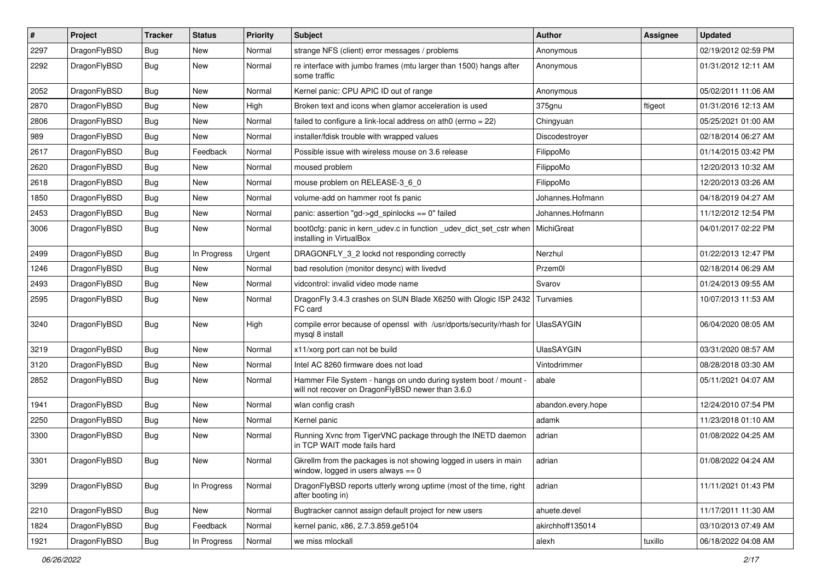| $\sharp$ | Project      | <b>Tracker</b> | <b>Status</b> | <b>Priority</b> | Subject                                                                                                              | Author             | Assignee | <b>Updated</b>      |
|----------|--------------|----------------|---------------|-----------------|----------------------------------------------------------------------------------------------------------------------|--------------------|----------|---------------------|
| 2297     | DragonFlyBSD | Bug            | New           | Normal          | strange NFS (client) error messages / problems                                                                       | Anonymous          |          | 02/19/2012 02:59 PM |
| 2292     | DragonFlyBSD | Bug            | New           | Normal          | re interface with jumbo frames (mtu larger than 1500) hangs after<br>some traffic                                    | Anonymous          |          | 01/31/2012 12:11 AM |
| 2052     | DragonFlyBSD | Bug            | New           | Normal          | Kernel panic: CPU APIC ID out of range                                                                               | Anonymous          |          | 05/02/2011 11:06 AM |
| 2870     | DragonFlyBSD | Bug            | <b>New</b>    | High            | Broken text and icons when glamor acceleration is used                                                               | 375gnu             | ftigeot  | 01/31/2016 12:13 AM |
| 2806     | DragonFlyBSD | Bug            | New           | Normal          | failed to configure a link-local address on ath0 (errno = 22)                                                        | Chingyuan          |          | 05/25/2021 01:00 AM |
| 989      | DragonFlyBSD | Bug            | New           | Normal          | installer/fdisk trouble with wrapped values                                                                          | Discodestrover     |          | 02/18/2014 06:27 AM |
| 2617     | DragonFlyBSD | Bug            | Feedback      | Normal          | Possible issue with wireless mouse on 3.6 release                                                                    | FilippoMo          |          | 01/14/2015 03:42 PM |
| 2620     | DragonFlyBSD | Bug            | New           | Normal          | moused problem                                                                                                       | FilippoMo          |          | 12/20/2013 10:32 AM |
| 2618     | DragonFlyBSD | Bug            | <b>New</b>    | Normal          | mouse problem on RELEASE-3_6_0                                                                                       | FilippoMo          |          | 12/20/2013 03:26 AM |
| 1850     | DragonFlyBSD | <b>Bug</b>     | New           | Normal          | volume-add on hammer root fs panic                                                                                   | Johannes.Hofmann   |          | 04/18/2019 04:27 AM |
| 2453     | DragonFlyBSD | <b>Bug</b>     | New           | Normal          | panic: assertion "gd->gd_spinlocks == 0" failed                                                                      | Johannes.Hofmann   |          | 11/12/2012 12:54 PM |
| 3006     | DragonFlyBSD | Bug            | <b>New</b>    | Normal          | boot0cfg: panic in kern_udev.c in function _udev_dict_set_cstr when<br>installing in VirtualBox                      | MichiGreat         |          | 04/01/2017 02:22 PM |
| 2499     | DragonFlyBSD | Bug            | In Progress   | Urgent          | DRAGONFLY_3_2 lockd not responding correctly                                                                         | Nerzhul            |          | 01/22/2013 12:47 PM |
| 1246     | DragonFlyBSD | <b>Bug</b>     | New           | Normal          | bad resolution (monitor desync) with livedvd                                                                         | Przem0l            |          | 02/18/2014 06:29 AM |
| 2493     | DragonFlyBSD | <b>Bug</b>     | New           | Normal          | vidcontrol: invalid video mode name                                                                                  | Svarov             |          | 01/24/2013 09:55 AM |
| 2595     | DragonFlyBSD | Bug            | New           | Normal          | DragonFly 3.4.3 crashes on SUN Blade X6250 with Qlogic ISP 2432<br>FC card                                           | Turvamies          |          | 10/07/2013 11:53 AM |
| 3240     | DragonFlyBSD | <b>Bug</b>     | New           | High            | compile error because of openssl with /usr/dports/security/rhash for<br>mysql 8 install                              | UlasSAYGIN         |          | 06/04/2020 08:05 AM |
| 3219     | DragonFlyBSD | <b>Bug</b>     | New           | Normal          | x11/xorg port can not be build                                                                                       | <b>UlasSAYGIN</b>  |          | 03/31/2020 08:57 AM |
| 3120     | DragonFlyBSD | Bug            | New           | Normal          | Intel AC 8260 firmware does not load                                                                                 | Vintodrimmer       |          | 08/28/2018 03:30 AM |
| 2852     | DragonFlyBSD | <b>Bug</b>     | <b>New</b>    | Normal          | Hammer File System - hangs on undo during system boot / mount -<br>will not recover on DragonFlyBSD newer than 3.6.0 | abale              |          | 05/11/2021 04:07 AM |
| 1941     | DragonFlyBSD | Bug            | <b>New</b>    | Normal          | wlan config crash                                                                                                    | abandon.every.hope |          | 12/24/2010 07:54 PM |
| 2250     | DragonFlyBSD | <b>Bug</b>     | New           | Normal          | Kernel panic                                                                                                         | adamk              |          | 11/23/2018 01:10 AM |
| 3300     | DragonFlyBSD | <b>Bug</b>     | <b>New</b>    | Normal          | Running Xvnc from TigerVNC package through the INETD daemon<br>in TCP WAIT mode fails hard                           | adrian             |          | 01/08/2022 04:25 AM |
| 3301     | DragonFlyBSD | <b>Bug</b>     | <b>New</b>    | Normal          | Gkrellm from the packages is not showing logged in users in main<br>window, logged in users always $== 0$            | adrian             |          | 01/08/2022 04:24 AM |
| 3299     | DragonFlyBSD | Bug            | In Progress   | Normal          | DragonFlyBSD reports utterly wrong uptime (most of the time, right<br>after booting in)                              | adrian             |          | 11/11/2021 01:43 PM |
| 2210     | DragonFlyBSD | <b>Bug</b>     | New           | Normal          | Bugtracker cannot assign default project for new users                                                               | ahuete.devel       |          | 11/17/2011 11:30 AM |
| 1824     | DragonFlyBSD | Bug            | Feedback      | Normal          | kernel panic, x86, 2.7.3.859.ge5104                                                                                  | akirchhoff135014   |          | 03/10/2013 07:49 AM |
| 1921     | DragonFlyBSD | <b>Bug</b>     | In Progress   | Normal          | we miss mlockall                                                                                                     | alexh              | tuxillo  | 06/18/2022 04:08 AM |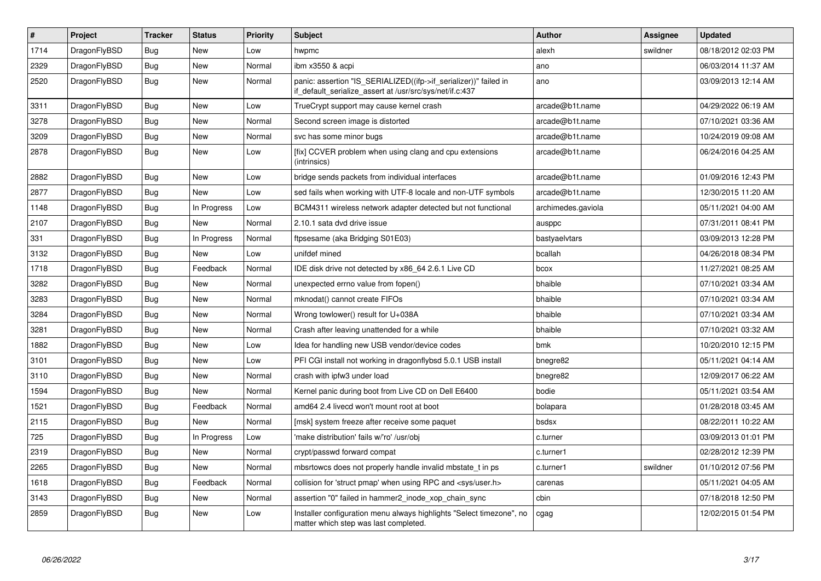| $\vert$ # | Project      | <b>Tracker</b> | <b>Status</b> | <b>Priority</b> | <b>Subject</b>                                                                                                               | <b>Author</b>      | Assignee | <b>Updated</b>      |
|-----------|--------------|----------------|---------------|-----------------|------------------------------------------------------------------------------------------------------------------------------|--------------------|----------|---------------------|
| 1714      | DragonFlyBSD | <b>Bug</b>     | New           | Low             | hwpmc                                                                                                                        | alexh              | swildner | 08/18/2012 02:03 PM |
| 2329      | DragonFlyBSD | Bug            | New           | Normal          | ibm x3550 & acpi                                                                                                             | ano                |          | 06/03/2014 11:37 AM |
| 2520      | DragonFlyBSD | <b>Bug</b>     | New           | Normal          | panic: assertion "IS SERIALIZED((ifp->if serializer))" failed in<br>if default serialize assert at /usr/src/sys/net/if.c:437 | ano                |          | 03/09/2013 12:14 AM |
| 3311      | DragonFlyBSD | <b>Bug</b>     | New           | Low             | TrueCrypt support may cause kernel crash                                                                                     | arcade@b1t.name    |          | 04/29/2022 06:19 AM |
| 3278      | DragonFlyBSD | Bug            | New           | Normal          | Second screen image is distorted                                                                                             | arcade@b1t.name    |          | 07/10/2021 03:36 AM |
| 3209      | DragonFlyBSD | Bug            | New           | Normal          | svc has some minor bugs                                                                                                      | arcade@b1t.name    |          | 10/24/2019 09:08 AM |
| 2878      | DragonFlyBSD | <b>Bug</b>     | New           | Low             | [fix] CCVER problem when using clang and cpu extensions<br>(intrinsics)                                                      | arcade@b1t.name    |          | 06/24/2016 04:25 AM |
| 2882      | DragonFlyBSD | <b>Bug</b>     | New           | Low             | bridge sends packets from individual interfaces                                                                              | arcade@b1t.name    |          | 01/09/2016 12:43 PM |
| 2877      | DragonFlyBSD | <b>Bug</b>     | <b>New</b>    | Low             | sed fails when working with UTF-8 locale and non-UTF symbols                                                                 | arcade@b1t.name    |          | 12/30/2015 11:20 AM |
| 1148      | DragonFlyBSD | <b>Bug</b>     | In Progress   | Low             | BCM4311 wireless network adapter detected but not functional                                                                 | archimedes.gaviola |          | 05/11/2021 04:00 AM |
| 2107      | DragonFlyBSD | Bug            | New           | Normal          | 2.10.1 sata dvd drive issue                                                                                                  | ausppc             |          | 07/31/2011 08:41 PM |
| 331       | DragonFlyBSD | <b>Bug</b>     | In Progress   | Normal          | ftpsesame (aka Bridging S01E03)                                                                                              | bastyaelvtars      |          | 03/09/2013 12:28 PM |
| 3132      | DragonFlyBSD | Bug            | <b>New</b>    | Low             | unifdef mined                                                                                                                | bcallah            |          | 04/26/2018 08:34 PM |
| 1718      | DragonFlyBSD | <b>Bug</b>     | Feedback      | Normal          | IDE disk drive not detected by x86_64 2.6.1 Live CD                                                                          | bcox               |          | 11/27/2021 08:25 AM |
| 3282      | DragonFlyBSD | Bug            | New           | Normal          | unexpected errno value from fopen()                                                                                          | bhaible            |          | 07/10/2021 03:34 AM |
| 3283      | DragonFlyBSD | <b>Bug</b>     | <b>New</b>    | Normal          | mknodat() cannot create FIFOs                                                                                                | bhaible            |          | 07/10/2021 03:34 AM |
| 3284      | DragonFlyBSD | Bug            | <b>New</b>    | Normal          | Wrong towlower() result for U+038A                                                                                           | bhaible            |          | 07/10/2021 03:34 AM |
| 3281      | DragonFlyBSD | <b>Bug</b>     | New           | Normal          | Crash after leaving unattended for a while                                                                                   | bhaible            |          | 07/10/2021 03:32 AM |
| 1882      | DragonFlyBSD | Bug            | New           | Low             | Idea for handling new USB vendor/device codes                                                                                | bmk                |          | 10/20/2010 12:15 PM |
| 3101      | DragonFlyBSD | <b>Bug</b>     | New           | Low             | PFI CGI install not working in dragonflybsd 5.0.1 USB install                                                                | bnegre82           |          | 05/11/2021 04:14 AM |
| 3110      | DragonFlyBSD | Bug            | New           | Normal          | crash with ipfw3 under load                                                                                                  | bnegre82           |          | 12/09/2017 06:22 AM |
| 1594      | DragonFlyBSD | Bug            | <b>New</b>    | Normal          | Kernel panic during boot from Live CD on Dell E6400                                                                          | bodie              |          | 05/11/2021 03:54 AM |
| 1521      | DragonFlyBSD | Bug            | Feedback      | Normal          | amd64 2.4 livecd won't mount root at boot                                                                                    | bolapara           |          | 01/28/2018 03:45 AM |
| 2115      | DragonFlyBSD | <b>Bug</b>     | <b>New</b>    | Normal          | [msk] system freeze after receive some paquet                                                                                | bsdsx              |          | 08/22/2011 10:22 AM |
| 725       | DragonFlyBSD | Bug            | In Progress   | Low             | 'make distribution' fails w/'ro' /usr/obj                                                                                    | c.turner           |          | 03/09/2013 01:01 PM |
| 2319      | DragonFlyBSD | Bug            | <b>New</b>    | Normal          | crypt/passwd forward compat                                                                                                  | c.turner1          |          | 02/28/2012 12:39 PM |
| 2265      | DragonFlyBSD | Bug            | New           | Normal          | mbsrtowcs does not properly handle invalid mbstate t in ps.                                                                  | c.turner1          | swildner | 01/10/2012 07:56 PM |
| 1618      | DragonFlyBSD | Bug            | Feedback      | Normal          | collision for 'struct pmap' when using RPC and <sys user.h=""></sys>                                                         | carenas            |          | 05/11/2021 04:05 AM |
| 3143      | DragonFlyBSD | Bug            | <b>New</b>    | Normal          | assertion "0" failed in hammer2_inode_xop_chain_sync                                                                         | cbin               |          | 07/18/2018 12:50 PM |
| 2859      | DragonFlyBSD | Bug            | New           | Low             | Installer configuration menu always highlights "Select timezone", no<br>matter which step was last completed.                | cgag               |          | 12/02/2015 01:54 PM |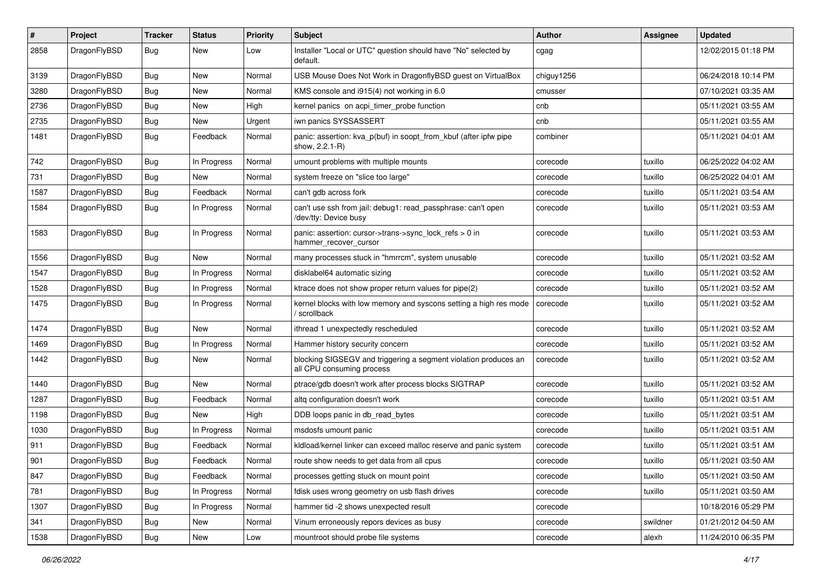| ∦    | Project      | <b>Tracker</b> | <b>Status</b> | <b>Priority</b> | <b>Subject</b>                                                                               | Author     | Assignee | <b>Updated</b>      |
|------|--------------|----------------|---------------|-----------------|----------------------------------------------------------------------------------------------|------------|----------|---------------------|
| 2858 | DragonFlyBSD | Bug            | New           | Low             | Installer "Local or UTC" question should have "No" selected by<br>default.                   | cgag       |          | 12/02/2015 01:18 PM |
| 3139 | DragonFlyBSD | <b>Bug</b>     | <b>New</b>    | Normal          | USB Mouse Does Not Work in DragonflyBSD guest on VirtualBox                                  | chiguy1256 |          | 06/24/2018 10:14 PM |
| 3280 | DragonFlyBSD | Bug            | <b>New</b>    | Normal          | KMS console and i915(4) not working in 6.0                                                   | cmusser    |          | 07/10/2021 03:35 AM |
| 2736 | DragonFlyBSD | <b>Bug</b>     | <b>New</b>    | High            | kernel panics on acpi_timer_probe function                                                   | cnb        |          | 05/11/2021 03:55 AM |
| 2735 | DragonFlyBSD | <b>Bug</b>     | New           | Urgent          | iwn panics SYSSASSERT                                                                        | cnb        |          | 05/11/2021 03:55 AM |
| 1481 | DragonFlyBSD | Bug            | Feedback      | Normal          | panic: assertion: kva p(buf) in soopt from kbuf (after ipfw pipe<br>show, 2.2.1-R)           | combiner   |          | 05/11/2021 04:01 AM |
| 742  | DragonFlyBSD | <b>Bug</b>     | In Progress   | Normal          | umount problems with multiple mounts                                                         | corecode   | tuxillo  | 06/25/2022 04:02 AM |
| 731  | DragonFlyBSD | <b>Bug</b>     | <b>New</b>    | Normal          | system freeze on "slice too large"                                                           | corecode   | tuxillo  | 06/25/2022 04:01 AM |
| 1587 | DragonFlyBSD | <b>Bug</b>     | Feedback      | Normal          | can't gdb across fork                                                                        | corecode   | tuxillo  | 05/11/2021 03:54 AM |
| 1584 | DragonFlyBSD | Bug            | In Progress   | Normal          | can't use ssh from jail: debug1: read_passphrase: can't open<br>/dev/tty: Device busy        | corecode   | tuxillo  | 05/11/2021 03:53 AM |
| 1583 | DragonFlyBSD | <b>Bug</b>     | In Progress   | Normal          | panic: assertion: cursor->trans->sync_lock_refs > 0 in<br>hammer_recover_cursor              | corecode   | tuxillo  | 05/11/2021 03:53 AM |
| 1556 | DragonFlyBSD | <b>Bug</b>     | New           | Normal          | many processes stuck in "hmrrcm", system unusable                                            | corecode   | tuxillo  | 05/11/2021 03:52 AM |
| 1547 | DragonFlyBSD | <b>Bug</b>     | In Progress   | Normal          | disklabel64 automatic sizing                                                                 | corecode   | tuxillo  | 05/11/2021 03:52 AM |
| 1528 | DragonFlyBSD | Bug            | In Progress   | Normal          | ktrace does not show proper return values for pipe(2)                                        | corecode   | tuxillo  | 05/11/2021 03:52 AM |
| 1475 | DragonFlyBSD | <b>Bug</b>     | In Progress   | Normal          | kernel blocks with low memory and syscons setting a high res mode<br>scrollback              | corecode   | tuxillo  | 05/11/2021 03:52 AM |
| 1474 | DragonFlyBSD | Bug            | <b>New</b>    | Normal          | ithread 1 unexpectedly rescheduled                                                           | corecode   | tuxillo  | 05/11/2021 03:52 AM |
| 1469 | DragonFlyBSD | <b>Bug</b>     | In Progress   | Normal          | Hammer history security concern                                                              | corecode   | tuxillo  | 05/11/2021 03:52 AM |
| 1442 | DragonFlyBSD | Bug            | <b>New</b>    | Normal          | blocking SIGSEGV and triggering a segment violation produces an<br>all CPU consuming process | corecode   | tuxillo  | 05/11/2021 03:52 AM |
| 1440 | DragonFlyBSD | Bug            | <b>New</b>    | Normal          | ptrace/gdb doesn't work after process blocks SIGTRAP                                         | corecode   | tuxillo  | 05/11/2021 03:52 AM |
| 1287 | DragonFlyBSD | <b>Bug</b>     | Feedback      | Normal          | altq configuration doesn't work                                                              | corecode   | tuxillo  | 05/11/2021 03:51 AM |
| 1198 | DragonFlyBSD | <b>Bug</b>     | New           | High            | DDB loops panic in db read bytes                                                             | corecode   | tuxillo  | 05/11/2021 03:51 AM |
| 1030 | DragonFlyBSD | Bug            | In Progress   | Normal          | msdosfs umount panic                                                                         | corecode   | tuxillo  | 05/11/2021 03:51 AM |
| 911  | DragonFlyBSD | <b>Bug</b>     | Feedback      | Normal          | kldload/kernel linker can exceed malloc reserve and panic system                             | corecode   | tuxillo  | 05/11/2021 03:51 AM |
| 901  | DragonFlyBSD | Bug            | Feedback      | Normal          | route show needs to get data from all cpus                                                   | corecode   | tuxillo  | 05/11/2021 03:50 AM |
| 847  | DragonFlyBSD | Bug            | Feedback      | Normal          | processes getting stuck on mount point                                                       | corecode   | tuxillo  | 05/11/2021 03:50 AM |
| 781  | DragonFlyBSD | Bug            | In Progress   | Normal          | fdisk uses wrong geometry on usb flash drives                                                | corecode   | tuxillo  | 05/11/2021 03:50 AM |
| 1307 | DragonFlyBSD | <b>Bug</b>     | In Progress   | Normal          | hammer tid -2 shows unexpected result                                                        | corecode   |          | 10/18/2016 05:29 PM |
| 341  | DragonFlyBSD | Bug            | New           | Normal          | Vinum erroneously repors devices as busy                                                     | corecode   | swildner | 01/21/2012 04:50 AM |
| 1538 | DragonFlyBSD | Bug            | New           | Low             | mountroot should probe file systems                                                          | corecode   | alexh    | 11/24/2010 06:35 PM |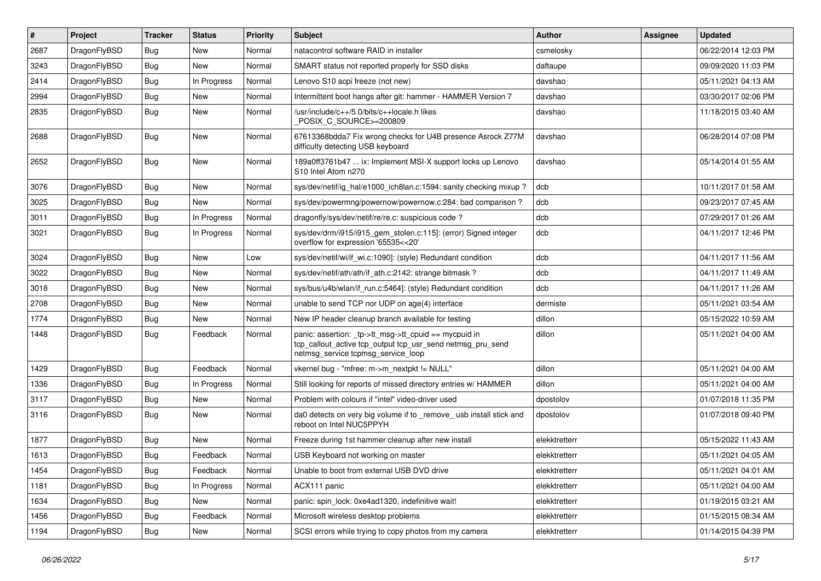| $\#$ | Project      | <b>Tracker</b> | <b>Status</b> | <b>Priority</b> | <b>Subject</b>                                                                                                                                            | <b>Author</b> | <b>Assignee</b> | <b>Updated</b>      |
|------|--------------|----------------|---------------|-----------------|-----------------------------------------------------------------------------------------------------------------------------------------------------------|---------------|-----------------|---------------------|
| 2687 | DragonFlyBSD | <b>Bug</b>     | <b>New</b>    | Normal          | natacontrol software RAID in installer                                                                                                                    | csmelosky     |                 | 06/22/2014 12:03 PM |
| 3243 | DragonFlyBSD | <b>Bug</b>     | New           | Normal          | SMART status not reported properly for SSD disks                                                                                                          | daftaupe      |                 | 09/09/2020 11:03 PM |
| 2414 | DragonFlyBSD | <b>Bug</b>     | In Progress   | Normal          | Lenovo S10 acpi freeze (not new)                                                                                                                          | davshao       |                 | 05/11/2021 04:13 AM |
| 2994 | DragonFlyBSD | Bug            | New           | Normal          | Intermittent boot hangs after git: hammer - HAMMER Version 7                                                                                              | davshao       |                 | 03/30/2017 02:06 PM |
| 2835 | DragonFlyBSD | <b>Bug</b>     | New           | Normal          | /usr/include/c++/5.0/bits/c++locale.h likes<br>POSIX C_SOURCE>=200809                                                                                     | davshao       |                 | 11/18/2015 03:40 AM |
| 2688 | DragonFlyBSD | Bug            | <b>New</b>    | Normal          | 67613368bdda7 Fix wrong checks for U4B presence Asrock Z77M<br>difficulty detecting USB keyboard                                                          | davshao       |                 | 06/28/2014 07:08 PM |
| 2652 | DragonFlyBSD | Bug            | <b>New</b>    | Normal          | 189a0ff3761b47  ix: Implement MSI-X support locks up Lenovo<br>S10 Intel Atom n270                                                                        | davshao       |                 | 05/14/2014 01:55 AM |
| 3076 | DragonFlyBSD | <b>Bug</b>     | <b>New</b>    | Normal          | sys/dev/netif/ig hal/e1000 ich8lan.c:1594: sanity checking mixup?                                                                                         | dcb           |                 | 10/11/2017 01:58 AM |
| 3025 | DragonFlyBSD | Bug            | New           | Normal          | sys/dev/powermng/powernow/powernow.c:284: bad comparison?                                                                                                 | dcb           |                 | 09/23/2017 07:45 AM |
| 3011 | DragonFlyBSD | Bug            | In Progress   | Normal          | dragonfly/sys/dev/netif/re/re.c: suspicious code?                                                                                                         | dcb           |                 | 07/29/2017 01:26 AM |
| 3021 | DragonFlyBSD | <b>Bug</b>     | In Progress   | Normal          | sys/dev/drm/i915/i915_gem_stolen.c:115]: (error) Signed integer<br>overflow for expression '65535<<20'                                                    | dcb           |                 | 04/11/2017 12:46 PM |
| 3024 | DragonFlyBSD | <b>Bug</b>     | New           | Low             | sys/dev/netif/wi/if_wi.c:1090]: (style) Redundant condition                                                                                               | dcb           |                 | 04/11/2017 11:56 AM |
| 3022 | DragonFlyBSD | <b>Bug</b>     | New           | Normal          | sys/dev/netif/ath/ath/if ath.c:2142: strange bitmask?                                                                                                     | dcb           |                 | 04/11/2017 11:49 AM |
| 3018 | DragonFlyBSD | Bug            | New           | Normal          | sys/bus/u4b/wlan/if run.c:5464]: (style) Redundant condition                                                                                              | dcb           |                 | 04/11/2017 11:26 AM |
| 2708 | DragonFlyBSD | <b>Bug</b>     | New           | Normal          | unable to send TCP nor UDP on age(4) interface                                                                                                            | dermiste      |                 | 05/11/2021 03:54 AM |
| 1774 | DragonFlyBSD | Bug            | New           | Normal          | New IP header cleanup branch available for testing                                                                                                        | dillon        |                 | 05/15/2022 10:59 AM |
| 1448 | DragonFlyBSD | <b>Bug</b>     | Feedback      | Normal          | panic: assertion: _tp->tt_msg->tt_cpuid == mycpuid in<br>tcp_callout_active tcp_output tcp_usr_send netmsg_pru_send<br>netmsg_service tcpmsg_service_loop | dillon        |                 | 05/11/2021 04:00 AM |
| 1429 | DragonFlyBSD | <b>Bug</b>     | Feedback      | Normal          | vkernel bug - "mfree: m->m_nextpkt != NULL"                                                                                                               | dillon        |                 | 05/11/2021 04:00 AM |
| 1336 | DragonFlyBSD | <b>Bug</b>     | In Progress   | Normal          | Still looking for reports of missed directory entries w/ HAMMER                                                                                           | dillon        |                 | 05/11/2021 04:00 AM |
| 3117 | DragonFlyBSD | <b>Bug</b>     | New           | Normal          | Problem with colours if "intel" video-driver used                                                                                                         | dpostolov     |                 | 01/07/2018 11:35 PM |
| 3116 | DragonFlyBSD | <b>Bug</b>     | New           | Normal          | da0 detects on very big volume if to _remove_ usb install stick and<br>reboot on Intel NUC5PPYH                                                           | dpostolov     |                 | 01/07/2018 09:40 PM |
| 1877 | DragonFlyBSD | <b>Bug</b>     | <b>New</b>    | Normal          | Freeze during 1st hammer cleanup after new install                                                                                                        | elekktretterr |                 | 05/15/2022 11:43 AM |
| 1613 | DragonFlyBSD | Bug            | Feedback      | Normal          | USB Keyboard not working on master                                                                                                                        | elekktretterr |                 | 05/11/2021 04:05 AM |
| 1454 | DragonFlyBSD | Bug            | Feedback      | Normal          | Unable to boot from external USB DVD drive                                                                                                                | elekktretterr |                 | 05/11/2021 04:01 AM |
| 1181 | DragonFlyBSD | <b>Bug</b>     | In Progress   | Normal          | ACX111 panic                                                                                                                                              | elekktretterr |                 | 05/11/2021 04:00 AM |
| 1634 | DragonFlyBSD | <b>Bug</b>     | New           | Normal          | panic: spin_lock: 0xe4ad1320, indefinitive wait!                                                                                                          | elekktretterr |                 | 01/19/2015 03:21 AM |
| 1456 | DragonFlyBSD | Bug            | Feedback      | Normal          | Microsoft wireless desktop problems                                                                                                                       | elekktretterr |                 | 01/15/2015 08:34 AM |
| 1194 | DragonFlyBSD | <b>Bug</b>     | New           | Normal          | SCSI errors while trying to copy photos from my camera                                                                                                    | elekktretterr |                 | 01/14/2015 04:39 PM |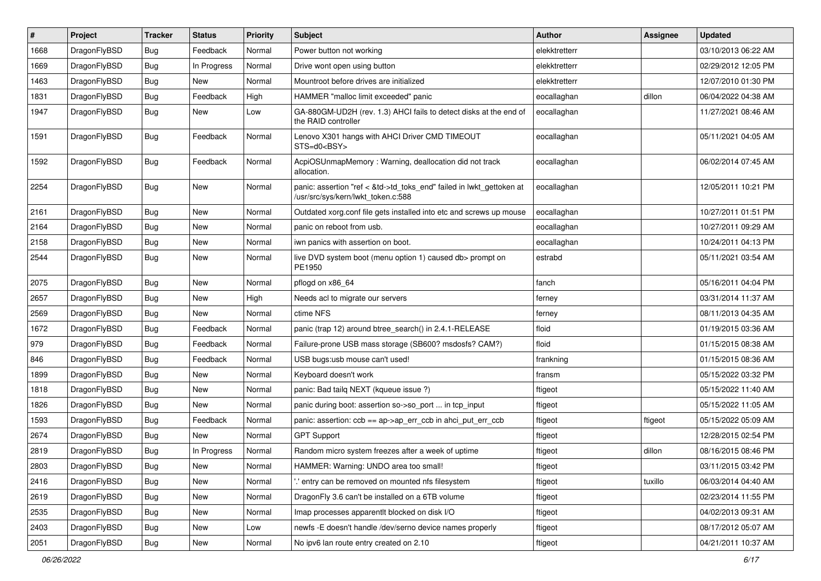| ∦    | Project      | <b>Tracker</b> | <b>Status</b> | <b>Priority</b> | <b>Subject</b>                                                                                             | Author        | Assignee | <b>Updated</b>      |
|------|--------------|----------------|---------------|-----------------|------------------------------------------------------------------------------------------------------------|---------------|----------|---------------------|
| 1668 | DragonFlyBSD | <b>Bug</b>     | Feedback      | Normal          | Power button not working                                                                                   | elekktretterr |          | 03/10/2013 06:22 AM |
| 1669 | DragonFlyBSD | <b>Bug</b>     | In Progress   | Normal          | Drive wont open using button                                                                               | elekktretterr |          | 02/29/2012 12:05 PM |
| 1463 | DragonFlyBSD | <b>Bug</b>     | New           | Normal          | Mountroot before drives are initialized                                                                    | elekktretterr |          | 12/07/2010 01:30 PM |
| 1831 | DragonFlyBSD | <b>Bug</b>     | Feedback      | High            | HAMMER "malloc limit exceeded" panic                                                                       | eocallaghan   | dillon   | 06/04/2022 04:38 AM |
| 1947 | DragonFlyBSD | Bug            | New           | Low             | GA-880GM-UD2H (rev. 1.3) AHCI fails to detect disks at the end of<br>the RAID controller                   | eocallaghan   |          | 11/27/2021 08:46 AM |
| 1591 | DragonFlyBSD | <b>Bug</b>     | Feedback      | Normal          | Lenovo X301 hangs with AHCI Driver CMD TIMEOUT<br>STS=d0 <bsy></bsy>                                       | eocallaghan   |          | 05/11/2021 04:05 AM |
| 1592 | DragonFlyBSD | Bug            | Feedback      | Normal          | AcpiOSUnmapMemory: Warning, deallocation did not track<br>allocation.                                      | eocallaghan   |          | 06/02/2014 07:45 AM |
| 2254 | DragonFlyBSD | <b>Bug</b>     | <b>New</b>    | Normal          | panic: assertion "ref < &td->td_toks_end" failed in lwkt_gettoken at<br>/usr/src/sys/kern/lwkt token.c:588 | eocallaghan   |          | 12/05/2011 10:21 PM |
| 2161 | DragonFlyBSD | Bug            | <b>New</b>    | Normal          | Outdated xorg.conf file gets installed into etc and screws up mouse                                        | eocallaghan   |          | 10/27/2011 01:51 PM |
| 2164 | DragonFlyBSD | Bug            | <b>New</b>    | Normal          | panic on reboot from usb.                                                                                  | eocallaghan   |          | 10/27/2011 09:29 AM |
| 2158 | DragonFlyBSD | Bug            | <b>New</b>    | Normal          | iwn panics with assertion on boot.                                                                         | eocallaghan   |          | 10/24/2011 04:13 PM |
| 2544 | DragonFlyBSD | <b>Bug</b>     | New           | Normal          | live DVD system boot (menu option 1) caused db> prompt on<br>PE1950                                        | estrabd       |          | 05/11/2021 03:54 AM |
| 2075 | DragonFlyBSD | Bug            | <b>New</b>    | Normal          | pflogd on x86_64                                                                                           | fanch         |          | 05/16/2011 04:04 PM |
| 2657 | DragonFlyBSD | <b>Bug</b>     | <b>New</b>    | High            | Needs acl to migrate our servers                                                                           | ferney        |          | 03/31/2014 11:37 AM |
| 2569 | DragonFlyBSD | Bug            | <b>New</b>    | Normal          | ctime NFS                                                                                                  | ferney        |          | 08/11/2013 04:35 AM |
| 1672 | DragonFlyBSD | <b>Bug</b>     | Feedback      | Normal          | panic (trap 12) around btree_search() in 2.4.1-RELEASE                                                     | floid         |          | 01/19/2015 03:36 AM |
| 979  | DragonFlyBSD | <b>Bug</b>     | Feedback      | Normal          | Failure-prone USB mass storage (SB600? msdosfs? CAM?)                                                      | floid         |          | 01/15/2015 08:38 AM |
| 846  | DragonFlyBSD | Bug            | Feedback      | Normal          | USB bugs:usb mouse can't used!                                                                             | frankning     |          | 01/15/2015 08:36 AM |
| 1899 | DragonFlyBSD | Bug            | <b>New</b>    | Normal          | Keyboard doesn't work                                                                                      | fransm        |          | 05/15/2022 03:32 PM |
| 1818 | DragonFlyBSD | Bug            | <b>New</b>    | Normal          | panic: Bad tailq NEXT (kqueue issue ?)                                                                     | ftigeot       |          | 05/15/2022 11:40 AM |
| 1826 | DragonFlyBSD | Bug            | <b>New</b>    | Normal          | panic during boot: assertion so->so_port  in tcp_input                                                     | ftigeot       |          | 05/15/2022 11:05 AM |
| 1593 | DragonFlyBSD | Bug            | Feedback      | Normal          | panic: assertion: $\cosh ==$ ap->ap err $\cosh$ in ahci put err $\cosh$                                    | ftigeot       | ftigeot  | 05/15/2022 05:09 AM |
| 2674 | DragonFlyBSD | Bug            | <b>New</b>    | Normal          | <b>GPT Support</b>                                                                                         | ftigeot       |          | 12/28/2015 02:54 PM |
| 2819 | DragonFlyBSD | <b>Bug</b>     | In Progress   | Normal          | Random micro system freezes after a week of uptime                                                         | ftigeot       | dillon   | 08/16/2015 08:46 PM |
| 2803 | DragonFlyBSD | <b>Bug</b>     | New           | Normal          | HAMMER: Warning: UNDO area too small!                                                                      | ftigeot       |          | 03/11/2015 03:42 PM |
| 2416 | DragonFlyBSD | Bug            | <b>New</b>    | Normal          | ".' entry can be removed on mounted nfs filesystem                                                         | ftigeot       | tuxillo  | 06/03/2014 04:40 AM |
| 2619 | DragonFlyBSD | <b>Bug</b>     | New           | Normal          | DragonFly 3.6 can't be installed on a 6TB volume                                                           | ftigeot       |          | 02/23/2014 11:55 PM |
| 2535 | DragonFlyBSD | <b>Bug</b>     | New           | Normal          | Imap processes apparentlt blocked on disk I/O                                                              | ftigeot       |          | 04/02/2013 09:31 AM |
| 2403 | DragonFlyBSD | Bug            | New           | Low             | newfs -E doesn't handle /dev/serno device names properly                                                   | ftigeot       |          | 08/17/2012 05:07 AM |
| 2051 | DragonFlyBSD | Bug            | New           | Normal          | No ipv6 lan route entry created on 2.10                                                                    | ftigeot       |          | 04/21/2011 10:37 AM |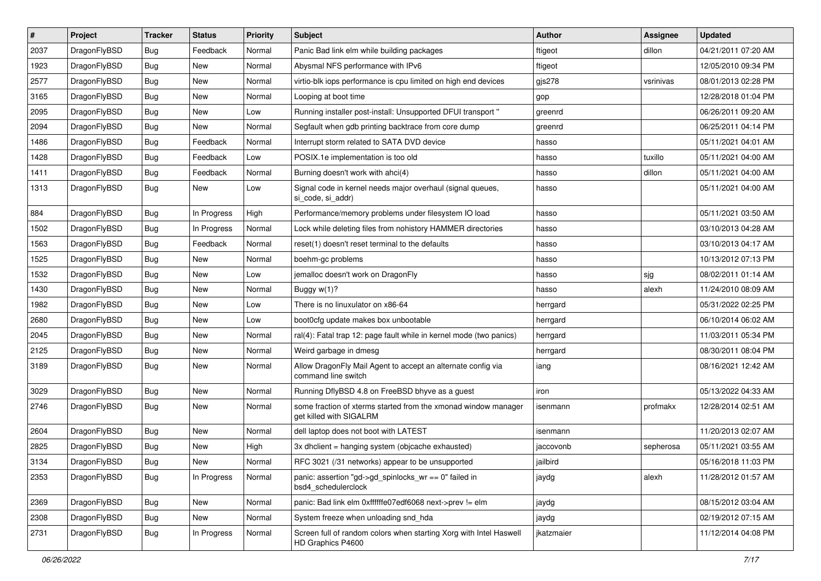| $\pmb{\#}$ | Project      | <b>Tracker</b> | <b>Status</b> | <b>Priority</b> | Subject                                                                                   | <b>Author</b> | Assignee  | <b>Updated</b>      |
|------------|--------------|----------------|---------------|-----------------|-------------------------------------------------------------------------------------------|---------------|-----------|---------------------|
| 2037       | DragonFlyBSD | Bug            | Feedback      | Normal          | Panic Bad link elm while building packages                                                | ftigeot       | dillon    | 04/21/2011 07:20 AM |
| 1923       | DragonFlyBSD | Bug            | <b>New</b>    | Normal          | Abysmal NFS performance with IPv6                                                         | ftigeot       |           | 12/05/2010 09:34 PM |
| 2577       | DragonFlyBSD | Bug            | <b>New</b>    | Normal          | virtio-blk iops performance is cpu limited on high end devices                            | gjs278        | vsrinivas | 08/01/2013 02:28 PM |
| 3165       | DragonFlyBSD | Bug            | <b>New</b>    | Normal          | Looping at boot time                                                                      | gop           |           | 12/28/2018 01:04 PM |
| 2095       | DragonFlyBSD | Bug            | <b>New</b>    | Low             | Running installer post-install: Unsupported DFUI transport "                              | greenrd       |           | 06/26/2011 09:20 AM |
| 2094       | DragonFlyBSD | Bug            | New           | Normal          | Segfault when gdb printing backtrace from core dump                                       | greenrd       |           | 06/25/2011 04:14 PM |
| 1486       | DragonFlyBSD | Bug            | Feedback      | Normal          | Interrupt storm related to SATA DVD device                                                | hasso         |           | 05/11/2021 04:01 AM |
| 1428       | DragonFlyBSD | Bug            | Feedback      | Low             | POSIX.1e implementation is too old                                                        | hasso         | tuxillo   | 05/11/2021 04:00 AM |
| 1411       | DragonFlyBSD | Bug            | Feedback      | Normal          | Burning doesn't work with ahci(4)                                                         | hasso         | dillon    | 05/11/2021 04:00 AM |
| 1313       | DragonFlyBSD | Bug            | <b>New</b>    | Low             | Signal code in kernel needs major overhaul (signal queues,<br>si code, si addr)           | hasso         |           | 05/11/2021 04:00 AM |
| 884        | DragonFlyBSD | Bug            | In Progress   | High            | Performance/memory problems under filesystem IO load                                      | hasso         |           | 05/11/2021 03:50 AM |
| 1502       | DragonFlyBSD | Bug            | In Progress   | Normal          | Lock while deleting files from nohistory HAMMER directories                               | hasso         |           | 03/10/2013 04:28 AM |
| 1563       | DragonFlyBSD | Bug            | Feedback      | Normal          | reset(1) doesn't reset terminal to the defaults                                           | hasso         |           | 03/10/2013 04:17 AM |
| 1525       | DragonFlyBSD | Bug            | <b>New</b>    | Normal          | boehm-gc problems                                                                         | hasso         |           | 10/13/2012 07:13 PM |
| 1532       | DragonFlyBSD | <b>Bug</b>     | New           | Low             | jemalloc doesn't work on DragonFly                                                        | hasso         | sjg       | 08/02/2011 01:14 AM |
| 1430       | DragonFlyBSD | Bug            | New           | Normal          | Buggy w(1)?                                                                               | hasso         | alexh     | 11/24/2010 08:09 AM |
| 1982       | DragonFlyBSD | Bug            | <b>New</b>    | Low             | There is no linuxulator on x86-64                                                         | herrgard      |           | 05/31/2022 02:25 PM |
| 2680       | DragonFlyBSD | Bug            | New           | Low             | boot0cfg update makes box unbootable                                                      | herrgard      |           | 06/10/2014 06:02 AM |
| 2045       | DragonFlyBSD | Bug            | <b>New</b>    | Normal          | ral(4): Fatal trap 12: page fault while in kernel mode (two panics)                       | herrgard      |           | 11/03/2011 05:34 PM |
| 2125       | DragonFlyBSD | Bug            | <b>New</b>    | Normal          | Weird garbage in dmesg                                                                    | herrgard      |           | 08/30/2011 08:04 PM |
| 3189       | DragonFlyBSD | Bug            | <b>New</b>    | Normal          | Allow DragonFly Mail Agent to accept an alternate config via<br>command line switch       | iang          |           | 08/16/2021 12:42 AM |
| 3029       | DragonFlyBSD | Bug            | <b>New</b>    | Normal          | Running DflyBSD 4.8 on FreeBSD bhyve as a guest                                           | iron          |           | 05/13/2022 04:33 AM |
| 2746       | DragonFlyBSD | Bug            | New           | Normal          | some fraction of xterms started from the xmonad window manager<br>get killed with SIGALRM | isenmann      | profmakx  | 12/28/2014 02:51 AM |
| 2604       | DragonFlyBSD | Bug            | <b>New</b>    | Normal          | dell laptop does not boot with LATEST                                                     | isenmann      |           | 11/20/2013 02:07 AM |
| 2825       | DragonFlyBSD | Bug            | <b>New</b>    | High            | 3x dhclient = hanging system (objcache exhausted)                                         | jaccovonb     | sepherosa | 05/11/2021 03:55 AM |
| 3134       | DragonFlyBSD | Bug            | New           | Normal          | RFC 3021 (/31 networks) appear to be unsupported                                          | jailbird      |           | 05/16/2018 11:03 PM |
| 2353       | DragonFlyBSD | Bug            | In Progress   | Normal          | panic: assertion "gd->gd_spinlocks_wr == 0" failed in<br>bsd4_schedulerclock              | jaydg         | alexh     | 11/28/2012 01:57 AM |
| 2369       | DragonFlyBSD | Bug            | New           | Normal          | panic: Bad link elm 0xffffffe07edf6068 next->prev != elm                                  | jaydg         |           | 08/15/2012 03:04 AM |
| 2308       | DragonFlyBSD | Bug            | New           | Normal          | System freeze when unloading snd_hda                                                      | jaydg         |           | 02/19/2012 07:15 AM |
| 2731       | DragonFlyBSD | <b>Bug</b>     | In Progress   | Normal          | Screen full of random colors when starting Xorg with Intel Haswell<br>HD Graphics P4600   | jkatzmaier    |           | 11/12/2014 04:08 PM |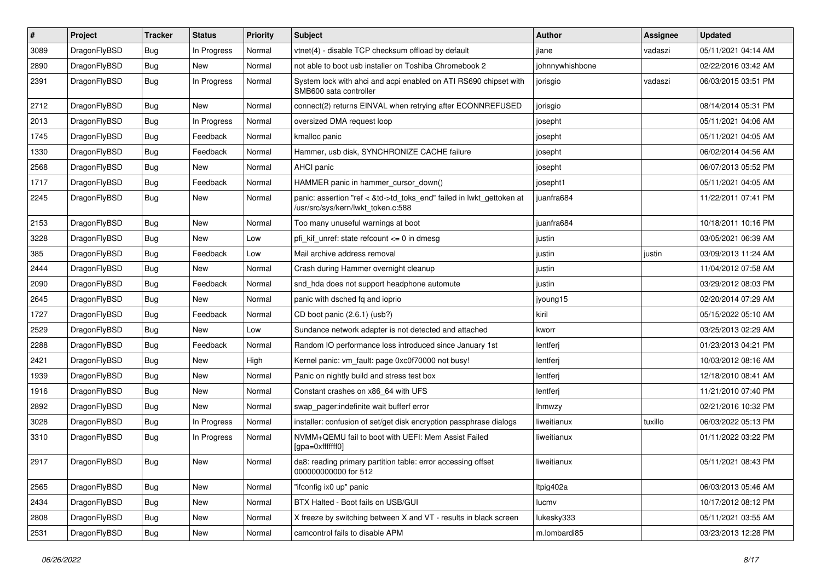| $\pmb{\#}$ | Project      | <b>Tracker</b> | <b>Status</b> | <b>Priority</b> | Subject                                                                                                    | Author          | <b>Assignee</b> | <b>Updated</b>      |
|------------|--------------|----------------|---------------|-----------------|------------------------------------------------------------------------------------------------------------|-----------------|-----------------|---------------------|
| 3089       | DragonFlyBSD | Bug            | In Progress   | Normal          | vtnet(4) - disable TCP checksum offload by default                                                         | jlane           | vadaszi         | 05/11/2021 04:14 AM |
| 2890       | DragonFlyBSD | Bug            | New           | Normal          | not able to boot usb installer on Toshiba Chromebook 2                                                     | johnnywhishbone |                 | 02/22/2016 03:42 AM |
| 2391       | DragonFlyBSD | Bug            | In Progress   | Normal          | System lock with ahci and acpi enabled on ATI RS690 chipset with<br>SMB600 sata controller                 | jorisgio        | vadaszi         | 06/03/2015 03:51 PM |
| 2712       | DragonFlyBSD | <b>Bug</b>     | <b>New</b>    | Normal          | connect(2) returns EINVAL when retrying after ECONNREFUSED                                                 | jorisgio        |                 | 08/14/2014 05:31 PM |
| 2013       | DragonFlyBSD | Bug            | In Progress   | Normal          | oversized DMA request loop                                                                                 | josepht         |                 | 05/11/2021 04:06 AM |
| 1745       | DragonFlyBSD | Bug            | Feedback      | Normal          | kmalloc panic                                                                                              | josepht         |                 | 05/11/2021 04:05 AM |
| 1330       | DragonFlyBSD | Bug            | Feedback      | Normal          | Hammer, usb disk, SYNCHRONIZE CACHE failure                                                                | josepht         |                 | 06/02/2014 04:56 AM |
| 2568       | DragonFlyBSD | Bug            | New           | Normal          | <b>AHCI</b> panic                                                                                          | josepht         |                 | 06/07/2013 05:52 PM |
| 1717       | DragonFlyBSD | Bug            | Feedback      | Normal          | HAMMER panic in hammer_cursor_down()                                                                       | josepht1        |                 | 05/11/2021 04:05 AM |
| 2245       | DragonFlyBSD | Bug            | New           | Normal          | panic: assertion "ref < &td->td_toks_end" failed in lwkt_gettoken at<br>/usr/src/sys/kern/lwkt_token.c:588 | juanfra684      |                 | 11/22/2011 07:41 PM |
| 2153       | DragonFlyBSD | <b>Bug</b>     | <b>New</b>    | Normal          | Too many unuseful warnings at boot                                                                         | juanfra684      |                 | 10/18/2011 10:16 PM |
| 3228       | DragonFlyBSD | Bug            | <b>New</b>    | Low             | pfi_kif_unref: state refcount <= 0 in dmesg                                                                | justin          |                 | 03/05/2021 06:39 AM |
| 385        | DragonFlyBSD | Bug            | Feedback      | Low             | Mail archive address removal                                                                               | justin          | justin          | 03/09/2013 11:24 AM |
| 2444       | DragonFlyBSD | Bug            | New           | Normal          | Crash during Hammer overnight cleanup                                                                      | justin          |                 | 11/04/2012 07:58 AM |
| 2090       | DragonFlyBSD | Bug            | Feedback      | Normal          | snd_hda does not support headphone automute                                                                | justin          |                 | 03/29/2012 08:03 PM |
| 2645       | DragonFlyBSD | Bug            | <b>New</b>    | Normal          | panic with dsched fq and ioprio                                                                            | jyoung15        |                 | 02/20/2014 07:29 AM |
| 1727       | DragonFlyBSD | Bug            | Feedback      | Normal          | CD boot panic (2.6.1) (usb?)                                                                               | kiril           |                 | 05/15/2022 05:10 AM |
| 2529       | DragonFlyBSD | Bug            | New           | Low             | Sundance network adapter is not detected and attached                                                      | kworr           |                 | 03/25/2013 02:29 AM |
| 2288       | DragonFlyBSD | Bug            | Feedback      | Normal          | Random IO performance loss introduced since January 1st                                                    | lentferj        |                 | 01/23/2013 04:21 PM |
| 2421       | DragonFlyBSD | <b>Bug</b>     | <b>New</b>    | High            | Kernel panic: vm_fault: page 0xc0f70000 not busy!                                                          | lentferj        |                 | 10/03/2012 08:16 AM |
| 1939       | DragonFlyBSD | Bug            | <b>New</b>    | Normal          | Panic on nightly build and stress test box                                                                 | lentferj        |                 | 12/18/2010 08:41 AM |
| 1916       | DragonFlyBSD | <b>Bug</b>     | New           | Normal          | Constant crashes on x86 64 with UFS                                                                        | lentferj        |                 | 11/21/2010 07:40 PM |
| 2892       | DragonFlyBSD | Bug            | <b>New</b>    | Normal          | swap_pager:indefinite wait bufferf error                                                                   | lhmwzy          |                 | 02/21/2016 10:32 PM |
| 3028       | DragonFlyBSD | <b>Bug</b>     | In Progress   | Normal          | installer: confusion of set/get disk encryption passphrase dialogs                                         | liweitianux     | tuxillo         | 06/03/2022 05:13 PM |
| 3310       | DragonFlyBSD | Bug            | In Progress   | Normal          | NVMM+QEMU fail to boot with UEFI: Mem Assist Failed<br>[gpa=0xfffffff0]                                    | liweitianux     |                 | 01/11/2022 03:22 PM |
| 2917       | DragonFlyBSD | <b>Bug</b>     | New           | Normal          | da8: reading primary partition table: error accessing offset<br>000000000000 for 512                       | liweitianux     |                 | 05/11/2021 08:43 PM |
| 2565       | DragonFlyBSD | Bug            | New           | Normal          | "ifconfig ix0 up" panic                                                                                    | ltpig402a       |                 | 06/03/2013 05:46 AM |
| 2434       | DragonFlyBSD | <b>Bug</b>     | New           | Normal          | BTX Halted - Boot fails on USB/GUI                                                                         | lucmv           |                 | 10/17/2012 08:12 PM |
| 2808       | DragonFlyBSD | Bug            | New           | Normal          | X freeze by switching between X and VT - results in black screen                                           | lukesky333      |                 | 05/11/2021 03:55 AM |
| 2531       | DragonFlyBSD | <b>Bug</b>     | New           | Normal          | camcontrol fails to disable APM                                                                            | m.lombardi85    |                 | 03/23/2013 12:28 PM |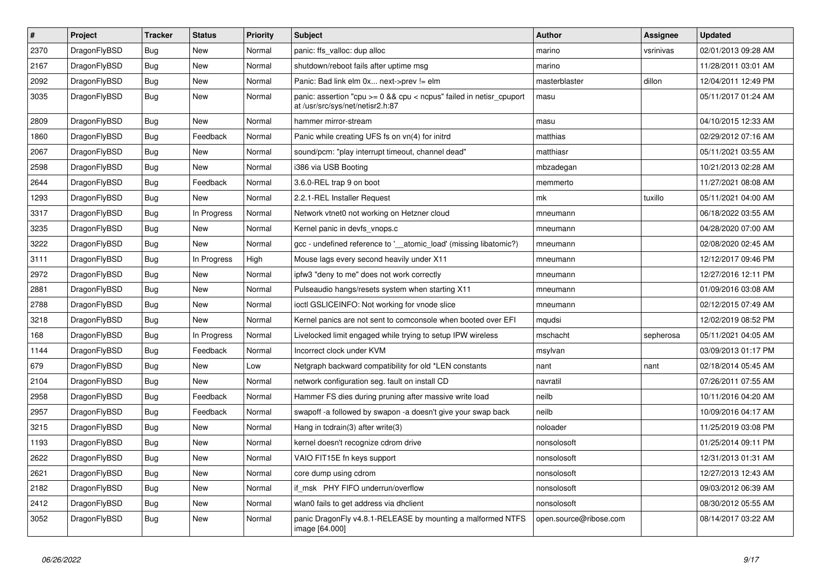| $\vert$ # | <b>Project</b> | <b>Tracker</b> | <b>Status</b> | Priority | <b>Subject</b>                                                                                            | Author                 | Assignee  | <b>Updated</b>      |
|-----------|----------------|----------------|---------------|----------|-----------------------------------------------------------------------------------------------------------|------------------------|-----------|---------------------|
| 2370      | DragonFlyBSD   | Bug            | New           | Normal   | panic: ffs valloc: dup alloc                                                                              | marino                 | vsrinivas | 02/01/2013 09:28 AM |
| 2167      | DragonFlyBSD   | Bug            | New           | Normal   | shutdown/reboot fails after uptime msg                                                                    | marino                 |           | 11/28/2011 03:01 AM |
| 2092      | DragonFlyBSD   | <b>Bug</b>     | New           | Normal   | Panic: Bad link elm 0x next->prev != elm                                                                  | masterblaster          | dillon    | 12/04/2011 12:49 PM |
| 3035      | DragonFlyBSD   | <b>Bug</b>     | New           | Normal   | panic: assertion "cpu $>= 0$ && cpu < ncpus" failed in netisr cpuport<br>at /usr/src/sys/net/netisr2.h:87 | masu                   |           | 05/11/2017 01:24 AM |
| 2809      | DragonFlyBSD   | <b>Bug</b>     | <b>New</b>    | Normal   | hammer mirror-stream                                                                                      | masu                   |           | 04/10/2015 12:33 AM |
| 1860      | DragonFlyBSD   | Bug            | Feedback      | Normal   | Panic while creating UFS fs on vn(4) for initrd                                                           | matthias               |           | 02/29/2012 07:16 AM |
| 2067      | DragonFlyBSD   | <b>Bug</b>     | <b>New</b>    | Normal   | sound/pcm: "play interrupt timeout, channel dead"                                                         | matthiasr              |           | 05/11/2021 03:55 AM |
| 2598      | DragonFlyBSD   | Bug            | <b>New</b>    | Normal   | i386 via USB Booting                                                                                      | mbzadegan              |           | 10/21/2013 02:28 AM |
| 2644      | DragonFlyBSD   | Bug            | Feedback      | Normal   | 3.6.0-REL trap 9 on boot                                                                                  | memmerto               |           | 11/27/2021 08:08 AM |
| 1293      | DragonFlyBSD   | <b>Bug</b>     | <b>New</b>    | Normal   | 2.2.1-REL Installer Request                                                                               | mk                     | tuxillo   | 05/11/2021 04:00 AM |
| 3317      | DragonFlyBSD   | <b>Bug</b>     | In Progress   | Normal   | Network vtnet0 not working on Hetzner cloud                                                               | mneumann               |           | 06/18/2022 03:55 AM |
| 3235      | DragonFlyBSD   | <b>Bug</b>     | <b>New</b>    | Normal   | Kernel panic in devfs_vnops.c                                                                             | mneumann               |           | 04/28/2020 07:00 AM |
| 3222      | DragonFlyBSD   | <b>Bug</b>     | <b>New</b>    | Normal   | gcc - undefined reference to '__atomic_load' (missing libatomic?)                                         | mneumann               |           | 02/08/2020 02:45 AM |
| 3111      | DragonFlyBSD   | Bug            | In Progress   | High     | Mouse lags every second heavily under X11                                                                 | mneumann               |           | 12/12/2017 09:46 PM |
| 2972      | DragonFlyBSD   | <b>Bug</b>     | <b>New</b>    | Normal   | ipfw3 "deny to me" does not work correctly                                                                | mneumann               |           | 12/27/2016 12:11 PM |
| 2881      | DragonFlyBSD   | <b>Bug</b>     | <b>New</b>    | Normal   | Pulseaudio hangs/resets system when starting X11                                                          | mneumann               |           | 01/09/2016 03:08 AM |
| 2788      | DragonFlyBSD   | <b>Bug</b>     | <b>New</b>    | Normal   | ioctl GSLICEINFO: Not working for vnode slice                                                             | mneumann               |           | 02/12/2015 07:49 AM |
| 3218      | DragonFlyBSD   | <b>Bug</b>     | <b>New</b>    | Normal   | Kernel panics are not sent to comconsole when booted over EFI                                             | mqudsi                 |           | 12/02/2019 08:52 PM |
| 168       | DragonFlyBSD   | <b>Bug</b>     | In Progress   | Normal   | Livelocked limit engaged while trying to setup IPW wireless                                               | mschacht               | sepherosa | 05/11/2021 04:05 AM |
| 1144      | DragonFlyBSD   | <b>Bug</b>     | Feedback      | Normal   | Incorrect clock under KVM                                                                                 | msylvan                |           | 03/09/2013 01:17 PM |
| 679       | DragonFlyBSD   | <b>Bug</b>     | <b>New</b>    | Low      | Netgraph backward compatibility for old *LEN constants                                                    | nant                   | nant      | 02/18/2014 05:45 AM |
| 2104      | DragonFlyBSD   | Bug            | New           | Normal   | network configuration seg. fault on install CD                                                            | navratil               |           | 07/26/2011 07:55 AM |
| 2958      | DragonFlyBSD   | Bug            | Feedback      | Normal   | Hammer FS dies during pruning after massive write load                                                    | neilb                  |           | 10/11/2016 04:20 AM |
| 2957      | DragonFlyBSD   | <b>Bug</b>     | Feedback      | Normal   | swapoff -a followed by swapon -a doesn't give your swap back                                              | neilb                  |           | 10/09/2016 04:17 AM |
| 3215      | DragonFlyBSD   | <b>Bug</b>     | New           | Normal   | Hang in tcdrain(3) after write(3)                                                                         | noloader               |           | 11/25/2019 03:08 PM |
| 1193      | DragonFlyBSD   | <b>Bug</b>     | <b>New</b>    | Normal   | kernel doesn't recognize cdrom drive                                                                      | nonsolosoft            |           | 01/25/2014 09:11 PM |
| 2622      | DragonFlyBSD   | <b>Bug</b>     | <b>New</b>    | Normal   | VAIO FIT15E fn keys support                                                                               | nonsolosoft            |           | 12/31/2013 01:31 AM |
| 2621      | DragonFlyBSD   | <b>Bug</b>     | <b>New</b>    | Normal   | core dump using cdrom                                                                                     | nonsolosoft            |           | 12/27/2013 12:43 AM |
| 2182      | DragonFlyBSD   | Bug            | <b>New</b>    | Normal   | if msk PHY FIFO underrun/overflow                                                                         | nonsolosoft            |           | 09/03/2012 06:39 AM |
| 2412      | DragonFlyBSD   | Bug            | New           | Normal   | wlan0 fails to get address via dhclient                                                                   | nonsolosoft            |           | 08/30/2012 05:55 AM |
| 3052      | DragonFlyBSD   | Bug            | New           | Normal   | panic DragonFly v4.8.1-RELEASE by mounting a malformed NTFS<br>image [64.000]                             | open.source@ribose.com |           | 08/14/2017 03:22 AM |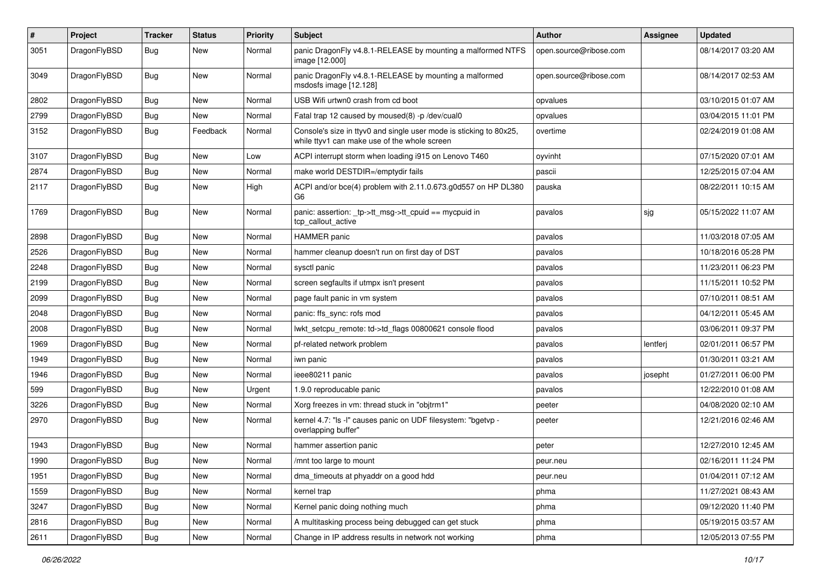| #    | Project      | <b>Tracker</b> | <b>Status</b> | <b>Priority</b> | Subject                                                                                                            | <b>Author</b>          | Assignee | <b>Updated</b>      |
|------|--------------|----------------|---------------|-----------------|--------------------------------------------------------------------------------------------------------------------|------------------------|----------|---------------------|
| 3051 | DragonFlyBSD | Bug            | <b>New</b>    | Normal          | panic DragonFly v4.8.1-RELEASE by mounting a malformed NTFS<br>image [12.000]                                      | open.source@ribose.com |          | 08/14/2017 03:20 AM |
| 3049 | DragonFlyBSD | <b>Bug</b>     | <b>New</b>    | Normal          | panic DragonFly v4.8.1-RELEASE by mounting a malformed<br>msdosfs image [12.128]                                   | open.source@ribose.com |          | 08/14/2017 02:53 AM |
| 2802 | DragonFlyBSD | <b>Bug</b>     | <b>New</b>    | Normal          | USB Wifi urtwn0 crash from cd boot                                                                                 | opvalues               |          | 03/10/2015 01:07 AM |
| 2799 | DragonFlyBSD | <b>Bug</b>     | New           | Normal          | Fatal trap 12 caused by moused(8) -p/dev/cual0                                                                     | opvalues               |          | 03/04/2015 11:01 PM |
| 3152 | DragonFlyBSD | Bug            | Feedback      | Normal          | Console's size in ttyv0 and single user mode is sticking to 80x25,<br>while ttyv1 can make use of the whole screen | overtime               |          | 02/24/2019 01:08 AM |
| 3107 | DragonFlyBSD | <b>Bug</b>     | <b>New</b>    | Low             | ACPI interrupt storm when loading i915 on Lenovo T460                                                              | oyvinht                |          | 07/15/2020 07:01 AM |
| 2874 | DragonFlyBSD | <b>Bug</b>     | <b>New</b>    | Normal          | make world DESTDIR=/emptydir fails                                                                                 | pascii                 |          | 12/25/2015 07:04 AM |
| 2117 | DragonFlyBSD | <b>Bug</b>     | <b>New</b>    | High            | ACPI and/or bce(4) problem with 2.11.0.673.g0d557 on HP DL380<br>G6                                                | pauska                 |          | 08/22/2011 10:15 AM |
| 1769 | DragonFlyBSD | <b>Bug</b>     | <b>New</b>    | Normal          | panic: assertion: _tp->tt_msg->tt_cpuid == mycpuid in<br>tcp_callout_active                                        | pavalos                | sjg      | 05/15/2022 11:07 AM |
| 2898 | DragonFlyBSD | <b>Bug</b>     | <b>New</b>    | Normal          | <b>HAMMER</b> panic                                                                                                | pavalos                |          | 11/03/2018 07:05 AM |
| 2526 | DragonFlyBSD | <b>Bug</b>     | <b>New</b>    | Normal          | hammer cleanup doesn't run on first day of DST                                                                     | pavalos                |          | 10/18/2016 05:28 PM |
| 2248 | DragonFlyBSD | <b>Bug</b>     | New           | Normal          | sysctl panic                                                                                                       | pavalos                |          | 11/23/2011 06:23 PM |
| 2199 | DragonFlyBSD | <b>Bug</b>     | <b>New</b>    | Normal          | screen segfaults if utmpx isn't present                                                                            | pavalos                |          | 11/15/2011 10:52 PM |
| 2099 | DragonFlyBSD | <b>Bug</b>     | <b>New</b>    | Normal          | page fault panic in vm system                                                                                      | pavalos                |          | 07/10/2011 08:51 AM |
| 2048 | DragonFlyBSD | <b>Bug</b>     | New           | Normal          | panic: ffs sync: rofs mod                                                                                          | pavalos                |          | 04/12/2011 05:45 AM |
| 2008 | DragonFlyBSD | <b>Bug</b>     | <b>New</b>    | Normal          | lwkt_setcpu_remote: td->td_flags 00800621 console flood                                                            | pavalos                |          | 03/06/2011 09:37 PM |
| 1969 | DragonFlyBSD | <b>Bug</b>     | <b>New</b>    | Normal          | pf-related network problem                                                                                         | pavalos                | lentferj | 02/01/2011 06:57 PM |
| 1949 | DragonFlyBSD | <b>Bug</b>     | <b>New</b>    | Normal          | iwn panic                                                                                                          | pavalos                |          | 01/30/2011 03:21 AM |
| 1946 | DragonFlyBSD | <b>Bug</b>     | New           | Normal          | ieee80211 panic                                                                                                    | pavalos                | josepht  | 01/27/2011 06:00 PM |
| 599  | DragonFlyBSD | <b>Bug</b>     | <b>New</b>    | Urgent          | 1.9.0 reproducable panic                                                                                           | pavalos                |          | 12/22/2010 01:08 AM |
| 3226 | DragonFlyBSD | <b>Bug</b>     | <b>New</b>    | Normal          | Xorg freezes in vm: thread stuck in "objtrm1"                                                                      | peeter                 |          | 04/08/2020 02:10 AM |
| 2970 | DragonFlyBSD | <b>Bug</b>     | New           | Normal          | kernel 4.7: "Is -I" causes panic on UDF filesystem: "bgetvp -<br>overlapping buffer"                               | peeter                 |          | 12/21/2016 02:46 AM |
| 1943 | DragonFlyBSD | <b>Bug</b>     | <b>New</b>    | Normal          | hammer assertion panic                                                                                             | peter                  |          | 12/27/2010 12:45 AM |
| 1990 | DragonFlyBSD | Bug            | <b>New</b>    | Normal          | /mnt too large to mount                                                                                            | peur.neu               |          | 02/16/2011 11:24 PM |
| 1951 | DragonFlyBSD | <b>Bug</b>     | New           | Normal          | dma timeouts at phyaddr on a good hdd                                                                              | peur.neu               |          | 01/04/2011 07:12 AM |
| 1559 | DragonFlyBSD | <b>Bug</b>     | New           | Normal          | kernel trap                                                                                                        | phma                   |          | 11/27/2021 08:43 AM |
| 3247 | DragonFlyBSD | <b>Bug</b>     | New           | Normal          | Kernel panic doing nothing much                                                                                    | phma                   |          | 09/12/2020 11:40 PM |
| 2816 | DragonFlyBSD | Bug            | New           | Normal          | A multitasking process being debugged can get stuck                                                                | phma                   |          | 05/19/2015 03:57 AM |
| 2611 | DragonFlyBSD | <b>Bug</b>     | New           | Normal          | Change in IP address results in network not working                                                                | phma                   |          | 12/05/2013 07:55 PM |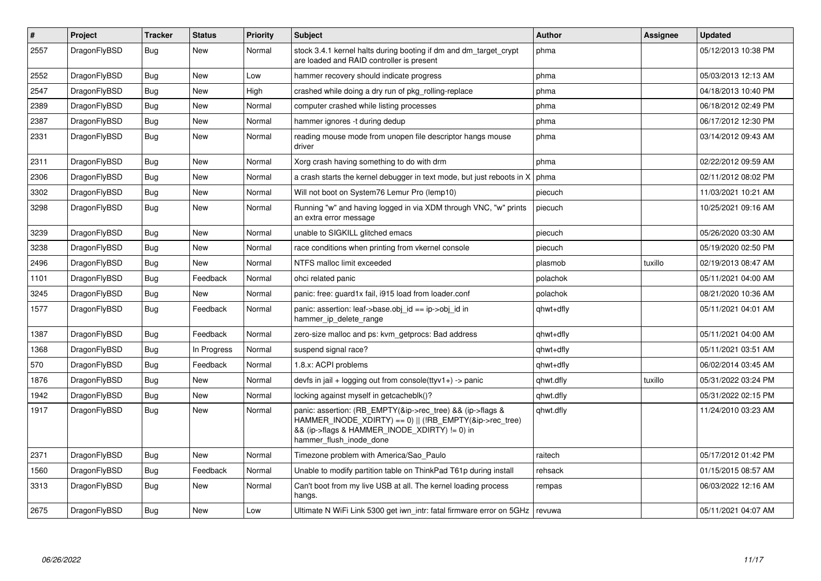| $\vert$ # | <b>Project</b> | <b>Tracker</b> | <b>Status</b> | <b>Priority</b> | <b>Subject</b>                                                                                                                                                                                    | <b>Author</b> | Assignee | <b>Updated</b>      |
|-----------|----------------|----------------|---------------|-----------------|---------------------------------------------------------------------------------------------------------------------------------------------------------------------------------------------------|---------------|----------|---------------------|
| 2557      | DragonFlyBSD   | Bug            | <b>New</b>    | Normal          | stock 3.4.1 kernel halts during booting if dm and dm target crypt<br>are loaded and RAID controller is present                                                                                    | phma          |          | 05/12/2013 10:38 PM |
| 2552      | DragonFlyBSD   | Bug            | <b>New</b>    | Low             | hammer recovery should indicate progress                                                                                                                                                          | phma          |          | 05/03/2013 12:13 AM |
| 2547      | DragonFlyBSD   | Bug            | New           | High            | crashed while doing a dry run of pkg rolling-replace                                                                                                                                              | phma          |          | 04/18/2013 10:40 PM |
| 2389      | DragonFlyBSD   | <b>Bug</b>     | <b>New</b>    | Normal          | computer crashed while listing processes                                                                                                                                                          | phma          |          | 06/18/2012 02:49 PM |
| 2387      | DragonFlyBSD   | <b>Bug</b>     | New           | Normal          | hammer ignores -t during dedup                                                                                                                                                                    | phma          |          | 06/17/2012 12:30 PM |
| 2331      | DragonFlyBSD   | <b>Bug</b>     | New           | Normal          | reading mouse mode from unopen file descriptor hangs mouse<br>driver                                                                                                                              | phma          |          | 03/14/2012 09:43 AM |
| 2311      | DragonFlyBSD   | Bug            | New           | Normal          | Xorg crash having something to do with drm                                                                                                                                                        | phma          |          | 02/22/2012 09:59 AM |
| 2306      | DragonFlyBSD   | <b>Bug</b>     | <b>New</b>    | Normal          | a crash starts the kernel debugger in text mode, but just reboots in X                                                                                                                            | phma          |          | 02/11/2012 08:02 PM |
| 3302      | DragonFlyBSD   | Bug            | New           | Normal          | Will not boot on System76 Lemur Pro (lemp10)                                                                                                                                                      | piecuch       |          | 11/03/2021 10:21 AM |
| 3298      | DragonFlyBSD   | <b>Bug</b>     | New           | Normal          | Running "w" and having logged in via XDM through VNC, "w" prints<br>an extra error message                                                                                                        | piecuch       |          | 10/25/2021 09:16 AM |
| 3239      | DragonFlyBSD   | Bug            | <b>New</b>    | Normal          | unable to SIGKILL glitched emacs                                                                                                                                                                  | piecuch       |          | 05/26/2020 03:30 AM |
| 3238      | DragonFlyBSD   | <b>Bug</b>     | New           | Normal          | race conditions when printing from vkernel console                                                                                                                                                | piecuch       |          | 05/19/2020 02:50 PM |
| 2496      | DragonFlyBSD   | Bug            | New           | Normal          | NTFS malloc limit exceeded                                                                                                                                                                        | plasmob       | tuxillo  | 02/19/2013 08:47 AM |
| 1101      | DragonFlyBSD   | Bug            | Feedback      | Normal          | ohci related panic                                                                                                                                                                                | polachok      |          | 05/11/2021 04:00 AM |
| 3245      | DragonFlyBSD   | Bug            | <b>New</b>    | Normal          | panic: free: quard1x fail, i915 load from loader.conf                                                                                                                                             | polachok      |          | 08/21/2020 10:36 AM |
| 1577      | DragonFlyBSD   | Bug            | Feedback      | Normal          | panic: assertion: leaf->base.obj id == ip->obj id in<br>hammer ip delete range                                                                                                                    | qhwt+dfly     |          | 05/11/2021 04:01 AM |
| 1387      | DragonFlyBSD   | Bug            | Feedback      | Normal          | zero-size malloc and ps: kvm getprocs: Bad address                                                                                                                                                | qhwt+dfly     |          | 05/11/2021 04:00 AM |
| 1368      | DragonFlyBSD   | Bug            | In Progress   | Normal          | suspend signal race?                                                                                                                                                                              | qhwt+dfly     |          | 05/11/2021 03:51 AM |
| 570       | DragonFlyBSD   | Bug            | Feedback      | Normal          | 1.8.x: ACPI problems                                                                                                                                                                              | qhwt+dfly     |          | 06/02/2014 03:45 AM |
| 1876      | DragonFlyBSD   | Bug            | New           | Normal          | devfs in $ ail + logging$ out from console(ttyv1+) -> panic                                                                                                                                       | qhwt.dfly     | tuxillo  | 05/31/2022 03:24 PM |
| 1942      | DragonFlyBSD   | Bug            | <b>New</b>    | Normal          | locking against myself in getcacheblk()?                                                                                                                                                          | qhwt.dfly     |          | 05/31/2022 02:15 PM |
| 1917      | DragonFlyBSD   | Bug            | <b>New</b>    | Normal          | panic: assertion: (RB_EMPTY(&ip->rec_tree) && (ip->flags &<br>HAMMER_INODE_XDIRTY) == 0)    (!RB_EMPTY(&ip->rec_tree)<br>&& (ip->flags & HAMMER_INODE_XDIRTY) != 0) in<br>hammer flush inode done | qhwt.dfly     |          | 11/24/2010 03:23 AM |
| 2371      | DragonFlyBSD   | Bug            | <b>New</b>    | Normal          | Timezone problem with America/Sao Paulo                                                                                                                                                           | raitech       |          | 05/17/2012 01:42 PM |
| 1560      | DragonFlyBSD   | Bug            | Feedback      | Normal          | Unable to modify partition table on ThinkPad T61p during install                                                                                                                                  | rehsack       |          | 01/15/2015 08:57 AM |
| 3313      | DragonFlyBSD   | Bug            | New           | Normal          | Can't boot from my live USB at all. The kernel loading process<br>hangs.                                                                                                                          | rempas        |          | 06/03/2022 12:16 AM |
| 2675      | DragonFlyBSD   | <b>Bug</b>     | <b>New</b>    | Low             | Ultimate N WiFi Link 5300 get iwn intr: fatal firmware error on 5GHz                                                                                                                              | revuwa        |          | 05/11/2021 04:07 AM |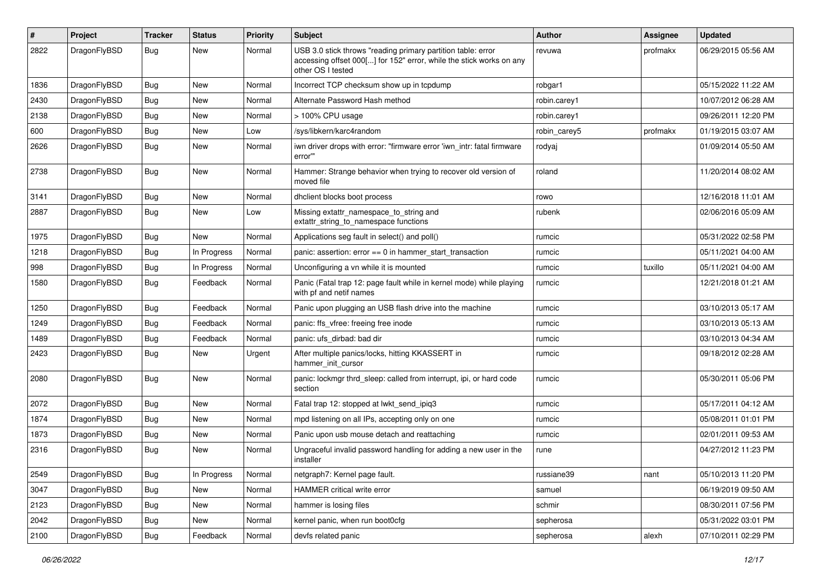| #    | Project      | <b>Tracker</b> | <b>Status</b> | <b>Priority</b> | Subject                                                                                                                                                  | <b>Author</b> | <b>Assignee</b> | <b>Updated</b>      |
|------|--------------|----------------|---------------|-----------------|----------------------------------------------------------------------------------------------------------------------------------------------------------|---------------|-----------------|---------------------|
| 2822 | DragonFlyBSD | Bug            | New           | Normal          | USB 3.0 stick throws "reading primary partition table: error<br>accessing offset 000[] for 152" error, while the stick works on any<br>other OS I tested | revuwa        | profmakx        | 06/29/2015 05:56 AM |
| 1836 | DragonFlyBSD | Bug            | <b>New</b>    | Normal          | Incorrect TCP checksum show up in tcpdump                                                                                                                | robgar1       |                 | 05/15/2022 11:22 AM |
| 2430 | DragonFlyBSD | Bug            | <b>New</b>    | Normal          | Alternate Password Hash method                                                                                                                           | robin.carey1  |                 | 10/07/2012 06:28 AM |
| 2138 | DragonFlyBSD | <b>Bug</b>     | <b>New</b>    | Normal          | > 100% CPU usage                                                                                                                                         | robin.carey1  |                 | 09/26/2011 12:20 PM |
| 600  | DragonFlyBSD | <b>Bug</b>     | <b>New</b>    | Low             | /sys/libkern/karc4random                                                                                                                                 | robin_carey5  | profmakx        | 01/19/2015 03:07 AM |
| 2626 | DragonFlyBSD | Bug            | New           | Normal          | iwn driver drops with error: "firmware error 'iwn_intr: fatal firmware<br>error""                                                                        | rodyaj        |                 | 01/09/2014 05:50 AM |
| 2738 | DragonFlyBSD | <b>Bug</b>     | New           | Normal          | Hammer: Strange behavior when trying to recover old version of<br>moved file                                                                             | roland        |                 | 11/20/2014 08:02 AM |
| 3141 | DragonFlyBSD | <b>Bug</b>     | <b>New</b>    | Normal          | dhclient blocks boot process                                                                                                                             | rowo          |                 | 12/16/2018 11:01 AM |
| 2887 | DragonFlyBSD | Bug            | <b>New</b>    | Low             | Missing extattr_namespace_to_string and<br>extattr_string_to_namespace functions                                                                         | rubenk        |                 | 02/06/2016 05:09 AM |
| 1975 | DragonFlyBSD | Bug            | <b>New</b>    | Normal          | Applications seg fault in select() and poll()                                                                                                            | rumcic        |                 | 05/31/2022 02:58 PM |
| 1218 | DragonFlyBSD | <b>Bug</b>     | In Progress   | Normal          | panic: assertion: $error == 0$ in hammer start transaction                                                                                               | rumcic        |                 | 05/11/2021 04:00 AM |
| 998  | DragonFlyBSD | <b>Bug</b>     | In Progress   | Normal          | Unconfiguring a vn while it is mounted                                                                                                                   | rumcic        | tuxillo         | 05/11/2021 04:00 AM |
| 1580 | DragonFlyBSD | <b>Bug</b>     | Feedback      | Normal          | Panic (Fatal trap 12: page fault while in kernel mode) while playing<br>with pf and netif names                                                          | rumcic        |                 | 12/21/2018 01:21 AM |
| 1250 | DragonFlyBSD | Bug            | Feedback      | Normal          | Panic upon plugging an USB flash drive into the machine                                                                                                  | rumcic        |                 | 03/10/2013 05:17 AM |
| 1249 | DragonFlyBSD | Bug            | Feedback      | Normal          | panic: ffs vfree: freeing free inode                                                                                                                     | rumcic        |                 | 03/10/2013 05:13 AM |
| 1489 | DragonFlyBSD | <b>Bug</b>     | Feedback      | Normal          | panic: ufs dirbad: bad dir                                                                                                                               | rumcic        |                 | 03/10/2013 04:34 AM |
| 2423 | DragonFlyBSD | Bug            | <b>New</b>    | Urgent          | After multiple panics/locks, hitting KKASSERT in<br>hammer init cursor                                                                                   | rumcic        |                 | 09/18/2012 02:28 AM |
| 2080 | DragonFlyBSD | Bug            | <b>New</b>    | Normal          | panic: lockmgr thrd_sleep: called from interrupt, ipi, or hard code<br>section                                                                           | rumcic        |                 | 05/30/2011 05:06 PM |
| 2072 | DragonFlyBSD | Bug            | <b>New</b>    | Normal          | Fatal trap 12: stopped at lwkt send ipig3                                                                                                                | rumcic        |                 | 05/17/2011 04:12 AM |
| 1874 | DragonFlyBSD | <b>Bug</b>     | New           | Normal          | mpd listening on all IPs, accepting only on one                                                                                                          | rumcic        |                 | 05/08/2011 01:01 PM |
| 1873 | DragonFlyBSD | Bug            | <b>New</b>    | Normal          | Panic upon usb mouse detach and reattaching                                                                                                              | rumcic        |                 | 02/01/2011 09:53 AM |
| 2316 | DragonFlyBSD | <b>Bug</b>     | <b>New</b>    | Normal          | Ungraceful invalid password handling for adding a new user in the<br>installer                                                                           | rune          |                 | 04/27/2012 11:23 PM |
| 2549 | DragonFlyBSD | <b>Bug</b>     | In Progress   | Normal          | netgraph7: Kernel page fault.                                                                                                                            | russiane39    | nant            | 05/10/2013 11:20 PM |
| 3047 | DragonFlyBSD | <b>Bug</b>     | New           | Normal          | HAMMER critical write error                                                                                                                              | samuel        |                 | 06/19/2019 09:50 AM |
| 2123 | DragonFlyBSD | <b>Bug</b>     | <b>New</b>    | Normal          | hammer is losing files                                                                                                                                   | schmir        |                 | 08/30/2011 07:56 PM |
| 2042 | DragonFlyBSD | <b>Bug</b>     | New           | Normal          | kernel panic, when run boot0cfg                                                                                                                          | sepherosa     |                 | 05/31/2022 03:01 PM |
| 2100 | DragonFlyBSD | <b>Bug</b>     | Feedback      | Normal          | devfs related panic                                                                                                                                      | sepherosa     | alexh           | 07/10/2011 02:29 PM |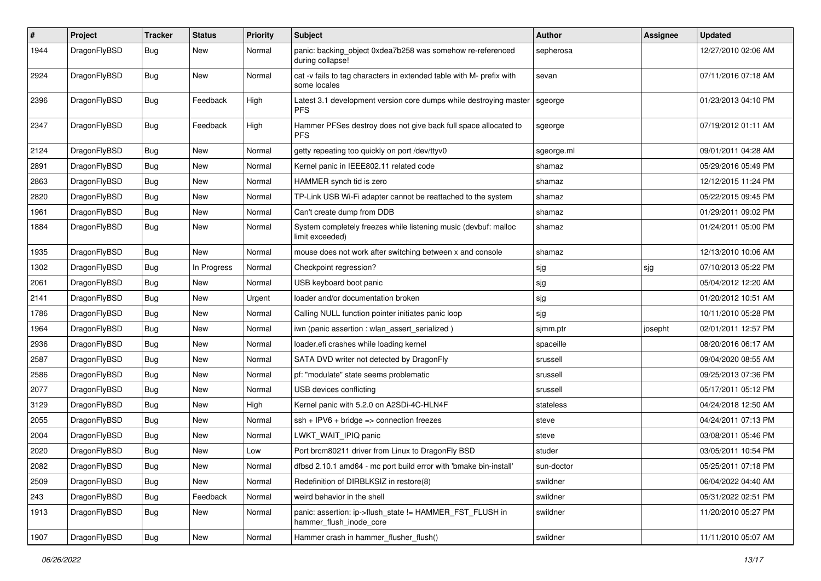| $\pmb{\#}$ | Project      | <b>Tracker</b> | <b>Status</b> | <b>Priority</b> | <b>Subject</b>                                                                       | Author     | <b>Assignee</b> | <b>Updated</b>      |
|------------|--------------|----------------|---------------|-----------------|--------------------------------------------------------------------------------------|------------|-----------------|---------------------|
| 1944       | DragonFlyBSD | Bug            | New           | Normal          | panic: backing_object 0xdea7b258 was somehow re-referenced<br>during collapse!       | sepherosa  |                 | 12/27/2010 02:06 AM |
| 2924       | DragonFlyBSD | Bug            | <b>New</b>    | Normal          | cat -v fails to tag characters in extended table with M- prefix with<br>some locales | sevan      |                 | 07/11/2016 07:18 AM |
| 2396       | DragonFlyBSD | Bug            | Feedback      | High            | Latest 3.1 development version core dumps while destroying master<br><b>PFS</b>      | sgeorge    |                 | 01/23/2013 04:10 PM |
| 2347       | DragonFlyBSD | Bug            | Feedback      | High            | Hammer PFSes destroy does not give back full space allocated to<br><b>PFS</b>        | sgeorge    |                 | 07/19/2012 01:11 AM |
| 2124       | DragonFlyBSD | Bug            | <b>New</b>    | Normal          | getty repeating too quickly on port /dev/ttyv0                                       | sgeorge.ml |                 | 09/01/2011 04:28 AM |
| 2891       | DragonFlyBSD | Bug            | New           | Normal          | Kernel panic in IEEE802.11 related code                                              | shamaz     |                 | 05/29/2016 05:49 PM |
| 2863       | DragonFlyBSD | Bug            | New           | Normal          | HAMMER synch tid is zero                                                             | shamaz     |                 | 12/12/2015 11:24 PM |
| 2820       | DragonFlyBSD | Bug            | <b>New</b>    | Normal          | TP-Link USB Wi-Fi adapter cannot be reattached to the system                         | shamaz     |                 | 05/22/2015 09:45 PM |
| 1961       | DragonFlyBSD | Bug            | New           | Normal          | Can't create dump from DDB                                                           | shamaz     |                 | 01/29/2011 09:02 PM |
| 1884       | DragonFlyBSD | Bug            | <b>New</b>    | Normal          | System completely freezes while listening music (devbuf: malloc<br>limit exceeded)   | shamaz     |                 | 01/24/2011 05:00 PM |
| 1935       | DragonFlyBSD | <b>Bug</b>     | <b>New</b>    | Normal          | mouse does not work after switching between x and console                            | shamaz     |                 | 12/13/2010 10:06 AM |
| 1302       | DragonFlyBSD | Bug            | In Progress   | Normal          | Checkpoint regression?                                                               | sjg        | sjg             | 07/10/2013 05:22 PM |
| 2061       | DragonFlyBSD | Bug            | <b>New</b>    | Normal          | USB keyboard boot panic                                                              | sjg        |                 | 05/04/2012 12:20 AM |
| 2141       | DragonFlyBSD | <b>Bug</b>     | New           | Urgent          | loader and/or documentation broken                                                   | sjg        |                 | 01/20/2012 10:51 AM |
| 1786       | DragonFlyBSD | Bug            | New           | Normal          | Calling NULL function pointer initiates panic loop                                   | sjg        |                 | 10/11/2010 05:28 PM |
| 1964       | DragonFlyBSD | Bug            | <b>New</b>    | Normal          | iwn (panic assertion : wlan_assert_serialized)                                       | sjmm.ptr   | josepht         | 02/01/2011 12:57 PM |
| 2936       | DragonFlyBSD | Bug            | <b>New</b>    | Normal          | loader.efi crashes while loading kernel                                              | spaceille  |                 | 08/20/2016 06:17 AM |
| 2587       | DragonFlyBSD | Bug            | <b>New</b>    | Normal          | SATA DVD writer not detected by DragonFly                                            | srussell   |                 | 09/04/2020 08:55 AM |
| 2586       | DragonFlyBSD | Bug            | New           | Normal          | pf: "modulate" state seems problematic                                               | srussell   |                 | 09/25/2013 07:36 PM |
| 2077       | DragonFlyBSD | Bug            | New           | Normal          | USB devices conflicting                                                              | srussell   |                 | 05/17/2011 05:12 PM |
| 3129       | DragonFlyBSD | Bug            | New           | High            | Kernel panic with 5.2.0 on A2SDi-4C-HLN4F                                            | stateless  |                 | 04/24/2018 12:50 AM |
| 2055       | DragonFlyBSD | Bug            | <b>New</b>    | Normal          | $ssh + IPV6 + bridge \Rightarrow$ connection freezes                                 | steve      |                 | 04/24/2011 07:13 PM |
| 2004       | DragonFlyBSD | Bug            | New           | Normal          | LWKT_WAIT_IPIQ panic                                                                 | steve      |                 | 03/08/2011 05:46 PM |
| 2020       | DragonFlyBSD | Bug            | <b>New</b>    | Low             | Port brcm80211 driver from Linux to DragonFly BSD                                    | studer     |                 | 03/05/2011 10:54 PM |
| 2082       | DragonFlyBSD | <b>Bug</b>     | New           | Normal          | dfbsd 2.10.1 amd64 - mc port build error with 'bmake bin-install'                    | sun-doctor |                 | 05/25/2011 07:18 PM |
| 2509       | DragonFlyBSD | Bug            | <b>New</b>    | Normal          | Redefinition of DIRBLKSIZ in restore(8)                                              | swildner   |                 | 06/04/2022 04:40 AM |
| 243        | DragonFlyBSD | Bug            | Feedback      | Normal          | weird behavior in the shell                                                          | swildner   |                 | 05/31/2022 02:51 PM |
| 1913       | DragonFlyBSD | Bug            | New           | Normal          | panic: assertion: ip->flush_state != HAMMER_FST_FLUSH in<br>hammer flush inode core  | swildner   |                 | 11/20/2010 05:27 PM |
| 1907       | DragonFlyBSD | <b>Bug</b>     | New           | Normal          | Hammer crash in hammer_flusher_flush()                                               | swildner   |                 | 11/11/2010 05:07 AM |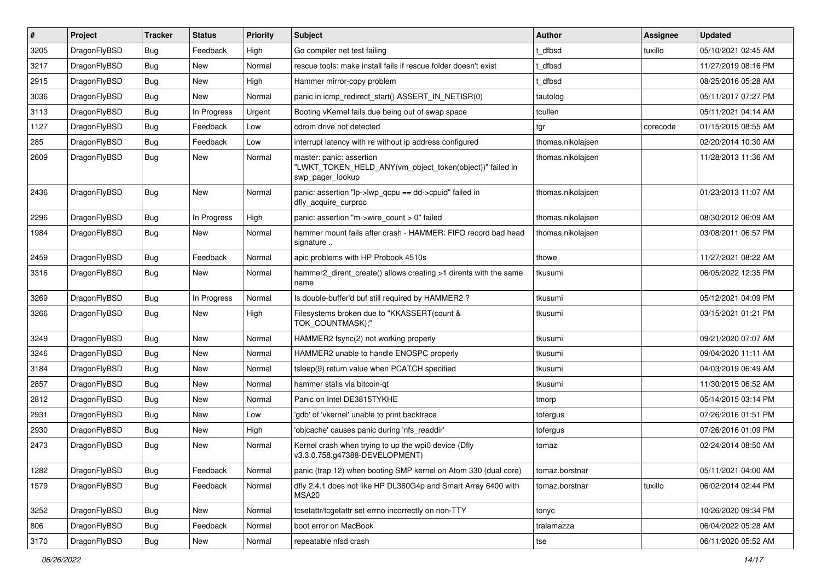| $\vert$ # | Project      | <b>Tracker</b> | <b>Status</b> | <b>Priority</b> | Subject                                                                                                  | <b>Author</b>     | <b>Assignee</b> | <b>Updated</b>      |
|-----------|--------------|----------------|---------------|-----------------|----------------------------------------------------------------------------------------------------------|-------------------|-----------------|---------------------|
| 3205      | DragonFlyBSD | <b>Bug</b>     | Feedback      | High            | Go compiler net test failing                                                                             | t_dfbsd           | tuxillo         | 05/10/2021 02:45 AM |
| 3217      | DragonFlyBSD | Bug            | <b>New</b>    | Normal          | rescue tools: make install fails if rescue folder doesn't exist                                          | t dfbsd           |                 | 11/27/2019 08:16 PM |
| 2915      | DragonFlyBSD | <b>Bug</b>     | New           | High            | Hammer mirror-copy problem                                                                               | t dfbsd           |                 | 08/25/2016 05:28 AM |
| 3036      | DragonFlyBSD | Bug            | <b>New</b>    | Normal          | panic in icmp redirect start() ASSERT IN NETISR(0)                                                       | tautolog          |                 | 05/11/2017 07:27 PM |
| 3113      | DragonFlyBSD | <b>Bug</b>     | In Progress   | Urgent          | Booting vKernel fails due being out of swap space                                                        | tcullen           |                 | 05/11/2021 04:14 AM |
| 1127      | DragonFlyBSD | <b>Bug</b>     | Feedback      | Low             | cdrom drive not detected                                                                                 | tgr               | corecode        | 01/15/2015 08:55 AM |
| 285       | DragonFlyBSD | Bug            | Feedback      | Low             | interrupt latency with re without ip address configured                                                  | thomas.nikolajsen |                 | 02/20/2014 10:30 AM |
| 2609      | DragonFlyBSD | Bug            | New           | Normal          | master: panic: assertion<br>"LWKT_TOKEN_HELD_ANY(vm_object_token(object))" failed in<br>swp_pager_lookup | thomas.nikolajsen |                 | 11/28/2013 11:36 AM |
| 2436      | DragonFlyBSD | <b>Bug</b>     | New           | Normal          | panic: assertion "lp->lwp_qcpu == dd->cpuid" failed in<br>dfly_acquire_curproc                           | thomas.nikolajsen |                 | 01/23/2013 11:07 AM |
| 2296      | DragonFlyBSD | <b>Bug</b>     | In Progress   | High            | panic: assertion "m->wire count > 0" failed                                                              | thomas.nikolajsen |                 | 08/30/2012 06:09 AM |
| 1984      | DragonFlyBSD | <b>Bug</b>     | New           | Normal          | hammer mount fails after crash - HAMMER: FIFO record bad head<br>signature                               | thomas.nikolajsen |                 | 03/08/2011 06:57 PM |
| 2459      | DragonFlyBSD | <b>Bug</b>     | Feedback      | Normal          | apic problems with HP Probook 4510s                                                                      | thowe             |                 | 11/27/2021 08:22 AM |
| 3316      | DragonFlyBSD | Bug            | New           | Normal          | hammer2 dirent create() allows creating >1 dirents with the same<br>name                                 | tkusumi           |                 | 06/05/2022 12:35 PM |
| 3269      | DragonFlyBSD | <b>Bug</b>     | In Progress   | Normal          | Is double-buffer'd buf still required by HAMMER2?                                                        | tkusumi           |                 | 05/12/2021 04:09 PM |
| 3266      | DragonFlyBSD | <b>Bug</b>     | <b>New</b>    | High            | Filesystems broken due to "KKASSERT(count &<br>TOK_COUNTMASK);"                                          | tkusumi           |                 | 03/15/2021 01:21 PM |
| 3249      | DragonFlyBSD | <b>Bug</b>     | <b>New</b>    | Normal          | HAMMER2 fsync(2) not working properly                                                                    | tkusumi           |                 | 09/21/2020 07:07 AM |
| 3246      | DragonFlyBSD | Bug            | <b>New</b>    | Normal          | HAMMER2 unable to handle ENOSPC properly                                                                 | tkusumi           |                 | 09/04/2020 11:11 AM |
| 3184      | DragonFlyBSD | Bug            | <b>New</b>    | Normal          | tsleep(9) return value when PCATCH specified                                                             | tkusumi           |                 | 04/03/2019 06:49 AM |
| 2857      | DragonFlyBSD | <b>Bug</b>     | New           | Normal          | hammer stalls via bitcoin-qt                                                                             | tkusumi           |                 | 11/30/2015 06:52 AM |
| 2812      | DragonFlyBSD | Bug            | <b>New</b>    | Normal          | Panic on Intel DE3815TYKHE                                                                               | tmorp             |                 | 05/14/2015 03:14 PM |
| 2931      | DragonFlyBSD | <b>Bug</b>     | New           | Low             | 'gdb' of 'vkernel' unable to print backtrace                                                             | tofergus          |                 | 07/26/2016 01:51 PM |
| 2930      | DragonFlyBSD | <b>Bug</b>     | <b>New</b>    | High            | 'objcache' causes panic during 'nfs readdir'                                                             | tofergus          |                 | 07/26/2016 01:09 PM |
| 2473      | DragonFlyBSD | <b>Bug</b>     | <b>New</b>    | Normal          | Kernel crash when trying to up the wpi0 device (Dfly<br>v3.3.0.758.g47388-DEVELOPMENT)                   | tomaz             |                 | 02/24/2014 08:50 AM |
| 1282      | DragonFlyBSD | <b>Bug</b>     | Feedback      | Normal          | panic (trap 12) when booting SMP kernel on Atom 330 (dual core)                                          | tomaz.borstnar    |                 | 05/11/2021 04:00 AM |
| 1579      | DragonFlyBSD | <b>Bug</b>     | Feedback      | Normal          | dfly 2.4.1 does not like HP DL360G4p and Smart Array 6400 with<br>MSA20                                  | tomaz.borstnar    | tuxillo         | 06/02/2014 02:44 PM |
| 3252      | DragonFlyBSD | <b>Bug</b>     | New           | Normal          | tcsetattr/tcgetattr set errno incorrectly on non-TTY                                                     | tonyc             |                 | 10/26/2020 09:34 PM |
| 806       | DragonFlyBSD | <b>Bug</b>     | Feedback      | Normal          | boot error on MacBook                                                                                    | tralamazza        |                 | 06/04/2022 05:28 AM |
| 3170      | DragonFlyBSD | Bug            | New           | Normal          | repeatable nfsd crash                                                                                    | tse               |                 | 06/11/2020 05:52 AM |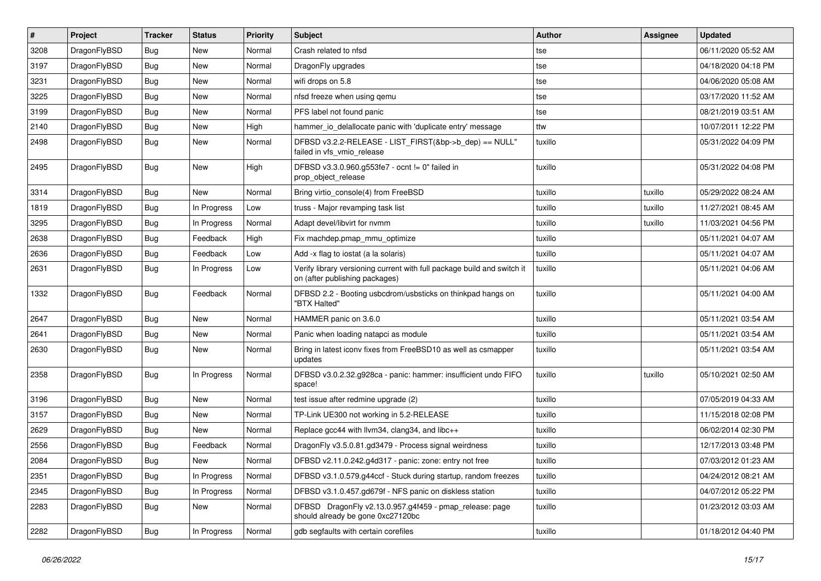| $\sharp$ | Project      | <b>Tracker</b> | <b>Status</b> | <b>Priority</b> | Subject                                                                                                   | <b>Author</b> | Assignee | <b>Updated</b>      |
|----------|--------------|----------------|---------------|-----------------|-----------------------------------------------------------------------------------------------------------|---------------|----------|---------------------|
| 3208     | DragonFlyBSD | <b>Bug</b>     | <b>New</b>    | Normal          | Crash related to nfsd                                                                                     | tse           |          | 06/11/2020 05:52 AM |
| 3197     | DragonFlyBSD | <b>Bug</b>     | <b>New</b>    | Normal          | DragonFly upgrades                                                                                        | tse           |          | 04/18/2020 04:18 PM |
| 3231     | DragonFlyBSD | <b>Bug</b>     | New           | Normal          | wifi drops on 5.8                                                                                         | tse           |          | 04/06/2020 05:08 AM |
| 3225     | DragonFlyBSD | <b>Bug</b>     | New           | Normal          | nfsd freeze when using gemu                                                                               | tse           |          | 03/17/2020 11:52 AM |
| 3199     | DragonFlyBSD | <b>Bug</b>     | New           | Normal          | PFS label not found panic                                                                                 | tse           |          | 08/21/2019 03:51 AM |
| 2140     | DragonFlyBSD | <b>Bug</b>     | <b>New</b>    | High            | hammer io delallocate panic with 'duplicate entry' message                                                | ttw           |          | 10/07/2011 12:22 PM |
| 2498     | DragonFlyBSD | <b>Bug</b>     | New           | Normal          | DFBSD v3.2.2-RELEASE - LIST_FIRST(&bp->b_dep) == NULL"<br>failed in vfs vmio release                      | tuxillo       |          | 05/31/2022 04:09 PM |
| 2495     | DragonFlyBSD | <b>Bug</b>     | New           | High            | DFBSD v3.3.0.960.g553fe7 - ocnt != 0" failed in<br>prop_object_release                                    | tuxillo       |          | 05/31/2022 04:08 PM |
| 3314     | DragonFlyBSD | <b>Bug</b>     | <b>New</b>    | Normal          | Bring virtio_console(4) from FreeBSD                                                                      | tuxillo       | tuxillo  | 05/29/2022 08:24 AM |
| 1819     | DragonFlyBSD | <b>Bug</b>     | In Progress   | Low             | truss - Major revamping task list                                                                         | tuxillo       | tuxillo  | 11/27/2021 08:45 AM |
| 3295     | DragonFlyBSD | <b>Bug</b>     | In Progress   | Normal          | Adapt devel/libvirt for nvmm                                                                              | tuxillo       | tuxillo  | 11/03/2021 04:56 PM |
| 2638     | DragonFlyBSD | <b>Bug</b>     | Feedback      | High            | Fix machdep.pmap mmu optimize                                                                             | tuxillo       |          | 05/11/2021 04:07 AM |
| 2636     | DragonFlyBSD | <b>Bug</b>     | Feedback      | Low             | Add -x flag to iostat (a la solaris)                                                                      | tuxillo       |          | 05/11/2021 04:07 AM |
| 2631     | DragonFlyBSD | <b>Bug</b>     | In Progress   | Low             | Verify library versioning current with full package build and switch it<br>on (after publishing packages) | tuxillo       |          | 05/11/2021 04:06 AM |
| 1332     | DragonFlyBSD | <b>Bug</b>     | Feedback      | Normal          | DFBSD 2.2 - Booting usbcdrom/usbsticks on thinkpad hangs on<br>"BTX Halted"                               | tuxillo       |          | 05/11/2021 04:00 AM |
| 2647     | DragonFlyBSD | <b>Bug</b>     | <b>New</b>    | Normal          | HAMMER panic on 3.6.0                                                                                     | tuxillo       |          | 05/11/2021 03:54 AM |
| 2641     | DragonFlyBSD | <b>Bug</b>     | <b>New</b>    | Normal          | Panic when loading natapci as module                                                                      | tuxillo       |          | 05/11/2021 03:54 AM |
| 2630     | DragonFlyBSD | <b>Bug</b>     | New           | Normal          | Bring in latest iconv fixes from FreeBSD10 as well as csmapper<br>updates                                 | tuxillo       |          | 05/11/2021 03:54 AM |
| 2358     | DragonFlyBSD | <b>Bug</b>     | In Progress   | Normal          | DFBSD v3.0.2.32.g928ca - panic: hammer: insufficient undo FIFO<br>space!                                  | tuxillo       | tuxillo  | 05/10/2021 02:50 AM |
| 3196     | DragonFlyBSD | <b>Bug</b>     | <b>New</b>    | Normal          | test issue after redmine upgrade (2)                                                                      | tuxillo       |          | 07/05/2019 04:33 AM |
| 3157     | DragonFlyBSD | <b>Bug</b>     | New           | Normal          | TP-Link UE300 not working in 5.2-RELEASE                                                                  | tuxillo       |          | 11/15/2018 02:08 PM |
| 2629     | DragonFlyBSD | <b>Bug</b>     | New           | Normal          | Replace gcc44 with llvm34, clang34, and libc++                                                            | tuxillo       |          | 06/02/2014 02:30 PM |
| 2556     | DragonFlyBSD | <b>Bug</b>     | Feedback      | Normal          | DragonFly v3.5.0.81.gd3479 - Process signal weirdness                                                     | tuxillo       |          | 12/17/2013 03:48 PM |
| 2084     | DragonFlyBSD | Bug            | New           | Normal          | DFBSD v2.11.0.242.g4d317 - panic: zone: entry not free                                                    | tuxillo       |          | 07/03/2012 01:23 AM |
| 2351     | DragonFlyBSD | Bug            | In Progress   | Normal          | DFBSD v3.1.0.579.g44ccf - Stuck during startup, random freezes                                            | tuxillo       |          | 04/24/2012 08:21 AM |
| 2345     | DragonFlyBSD | <b>Bug</b>     | In Progress   | Normal          | DFBSD v3.1.0.457.gd679f - NFS panic on diskless station                                                   | tuxillo       |          | 04/07/2012 05:22 PM |
| 2283     | DragonFlyBSD | <b>Bug</b>     | New           | Normal          | DFBSD DragonFly v2.13.0.957.g4f459 - pmap_release: page<br>should already be gone 0xc27120bc              | tuxillo       |          | 01/23/2012 03:03 AM |
| 2282     | DragonFlyBSD | <b>Bug</b>     | In Progress   | Normal          | gdb segfaults with certain corefiles                                                                      | tuxillo       |          | 01/18/2012 04:40 PM |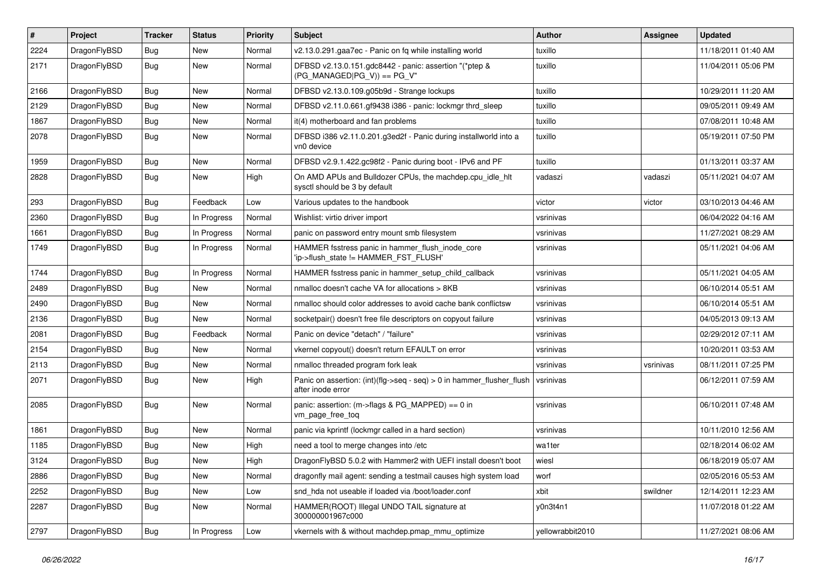| #    | Project      | <b>Tracker</b> | <b>Status</b> | <b>Priority</b> | <b>Subject</b>                                                                                | Author           | Assignee  | <b>Updated</b>      |
|------|--------------|----------------|---------------|-----------------|-----------------------------------------------------------------------------------------------|------------------|-----------|---------------------|
| 2224 | DragonFlyBSD | <b>Bug</b>     | <b>New</b>    | Normal          | v2.13.0.291.gaa7ec - Panic on fq while installing world                                       | tuxillo          |           | 11/18/2011 01:40 AM |
| 2171 | DragonFlyBSD | Bug            | New           | Normal          | DFBSD v2.13.0.151.gdc8442 - panic: assertion "(*ptep &<br>$(PG_MANAGED PG_V)$ == PG_V"        | tuxillo          |           | 11/04/2011 05:06 PM |
| 2166 | DragonFlyBSD | Bug            | <b>New</b>    | Normal          | DFBSD v2.13.0.109.g05b9d - Strange lockups                                                    | tuxillo          |           | 10/29/2011 11:20 AM |
| 2129 | DragonFlyBSD | Bug            | <b>New</b>    | Normal          | DFBSD v2.11.0.661.gf9438 i386 - panic: lockmgr thrd_sleep                                     | tuxillo          |           | 09/05/2011 09:49 AM |
| 1867 | DragonFlyBSD | <b>Bug</b>     | New           | Normal          | it(4) motherboard and fan problems                                                            | tuxillo          |           | 07/08/2011 10:48 AM |
| 2078 | DragonFlyBSD | Bug            | <b>New</b>    | Normal          | DFBSD i386 v2.11.0.201.g3ed2f - Panic during installworld into a<br>vn0 device                | tuxillo          |           | 05/19/2011 07:50 PM |
| 1959 | DragonFlyBSD | Bug            | <b>New</b>    | Normal          | DFBSD v2.9.1.422.gc98f2 - Panic during boot - IPv6 and PF                                     | tuxillo          |           | 01/13/2011 03:37 AM |
| 2828 | DragonFlyBSD | <b>Bug</b>     | New           | High            | On AMD APUs and Bulldozer CPUs, the machdep.cpu_idle_hlt<br>sysctl should be 3 by default     | vadaszi          | vadaszi   | 05/11/2021 04:07 AM |
| 293  | DragonFlyBSD | Bug            | Feedback      | Low             | Various updates to the handbook                                                               | victor           | victor    | 03/10/2013 04:46 AM |
| 2360 | DragonFlyBSD | Bug            | In Progress   | Normal          | Wishlist: virtio driver import                                                                | vsrinivas        |           | 06/04/2022 04:16 AM |
| 1661 | DragonFlyBSD | Bug            | In Progress   | Normal          | panic on password entry mount smb filesystem                                                  | vsrinivas        |           | 11/27/2021 08:29 AM |
| 1749 | DragonFlyBSD | Bug            | In Progress   | Normal          | HAMMER fsstress panic in hammer_flush_inode_core<br>'ip->flush_state != HAMMER_FST_FLUSH'     | vsrinivas        |           | 05/11/2021 04:06 AM |
| 1744 | DragonFlyBSD | <b>Bug</b>     | In Progress   | Normal          | HAMMER fsstress panic in hammer setup child callback                                          | vsrinivas        |           | 05/11/2021 04:05 AM |
| 2489 | DragonFlyBSD | Bug            | <b>New</b>    | Normal          | nmalloc doesn't cache VA for allocations > 8KB                                                | vsrinivas        |           | 06/10/2014 05:51 AM |
| 2490 | DragonFlyBSD | <b>Bug</b>     | <b>New</b>    | Normal          | nmalloc should color addresses to avoid cache bank conflictsw                                 | vsrinivas        |           | 06/10/2014 05:51 AM |
| 2136 | DragonFlyBSD | Bug            | <b>New</b>    | Normal          | socketpair() doesn't free file descriptors on copyout failure                                 | vsrinivas        |           | 04/05/2013 09:13 AM |
| 2081 | DragonFlyBSD | Bug            | Feedback      | Normal          | Panic on device "detach" / "failure"                                                          | vsrinivas        |           | 02/29/2012 07:11 AM |
| 2154 | DragonFlyBSD | <b>Bug</b>     | New           | Normal          | vkernel copyout() doesn't return EFAULT on error                                              | vsrinivas        |           | 10/20/2011 03:53 AM |
| 2113 | DragonFlyBSD | Bug            | <b>New</b>    | Normal          | nmalloc threaded program fork leak                                                            | vsrinivas        | vsrinivas | 08/11/2011 07:25 PM |
| 2071 | DragonFlyBSD | Bug            | New           | High            | Panic on assertion: $(int)(flag->seq - seq) > 0$ in hammer flusher flush<br>after inode error | vsrinivas        |           | 06/12/2011 07:59 AM |
| 2085 | DragonFlyBSD | Bug            | New           | Normal          | panic: assertion: (m->flags & PG_MAPPED) == 0 in<br>vm_page_free_toq                          | vsrinivas        |           | 06/10/2011 07:48 AM |
| 1861 | DragonFlyBSD | Bug            | <b>New</b>    | Normal          | panic via kprintf (lockmgr called in a hard section)                                          | vsrinivas        |           | 10/11/2010 12:56 AM |
| 1185 | DragonFlyBSD | <b>Bug</b>     | <b>New</b>    | High            | need a tool to merge changes into /etc                                                        | wa1ter           |           | 02/18/2014 06:02 AM |
| 3124 | DragonFlyBSD | Bug            | New           | High            | DragonFlyBSD 5.0.2 with Hammer2 with UEFI install doesn't boot                                | wiesl            |           | 06/18/2019 05:07 AM |
| 2886 | DragonFlyBSD | Bug            | <b>New</b>    | Normal          | dragonfly mail agent: sending a testmail causes high system load                              | worf             |           | 02/05/2016 05:53 AM |
| 2252 | DragonFlyBSD | <b>Bug</b>     | New           | Low             | snd_hda not useable if loaded via /boot/loader.conf                                           | xbit             | swildner  | 12/14/2011 12:23 AM |
| 2287 | DragonFlyBSD | <b>Bug</b>     | New           | Normal          | HAMMER(ROOT) Illegal UNDO TAIL signature at<br>300000001967c000                               | y0n3t4n1         |           | 11/07/2018 01:22 AM |
| 2797 | DragonFlyBSD | Bug            | In Progress   | Low             | vkernels with & without machdep.pmap mmu optimize                                             | yellowrabbit2010 |           | 11/27/2021 08:06 AM |